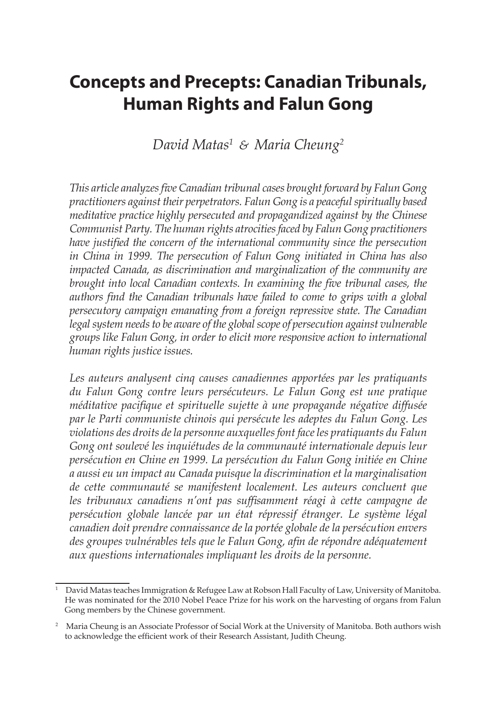# **Concepts and Precepts: Canadian Tribunals, Human Rights and Falun Gong**

# *David Matas1 & Maria Cheung2*

*This article analyzes five Canadian tribunal cases brought forward by Falun Gong practitioners against their perpetrators. Falun Gong is a peaceful spiritually based meditative practice highly persecuted and propagandized against by the Chinese Communist Party. The human rights atrocities faced by Falun Gong practitioners have justified the concern of the international community since the persecution in China in 1999. The persecution of Falun Gong initiated in China has also impacted Canada, as discrimination and marginalization of the community are brought into local Canadian contexts. In examining the five tribunal cases, the authors find the Canadian tribunals have failed to come to grips with a global persecutory campaign emanating from a foreign repressive state. The Canadian legal system needs to be aware of the global scope of persecution against vulnerable groups like Falun Gong, in order to elicit more responsive action to international human rights justice issues.*

Les auteurs analysent cinq causes canadiennes apportées par les pratiquants *du Falun Gong contre leurs persécuteurs. Le Falun Gong est une pratique méditative pacifique et spirituelle sujette à une propagande négative diffusée par le Parti communiste chinois qui persécute les adeptes du Falun Gong. Les violations des droits de la personne auxquelles font face les pratiquants du Falun Gong ont soulevé les inquiétudes de la communauté internationale depuis leur persécution en Chine en 1999. La persécution du Falun Gong initiée en Chine a aussi eu un impact au Canada puisque la discrimination et la marginalisation de cette communauté se manifestent localement. Les auteurs concluent que les tribunaux canadiens n'ont pas suffisamment réagi à cette campagne de persécution globale lancée par un état répressif étranger. Le système légal canadien doit prendre connaissance de la portée globale de la persécution envers des groupes vulnérables tels que le Falun Gong, afin de répondre adéquatement aux questions internationales impliquant les droits de la personne.* 

<sup>&</sup>lt;sup>1</sup> David Matas teaches Immigration & Refugee Law at Robson Hall Faculty of Law, University of Manitoba. He was nominated for the 2010 Nobel Peace Prize for his work on the harvesting of organs from Falun Gong members by the Chinese government.

<sup>&</sup>lt;sup>2</sup> Maria Cheung is an Associate Professor of Social Work at the University of Manitoba. Both authors wish to acknowledge the efficient work of their Research Assistant, Judith Cheung.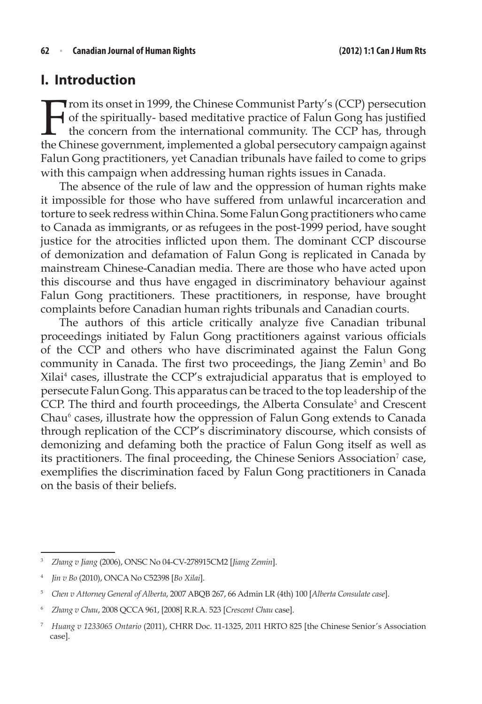# **I. Introduction**

From its onset in 1999, the Chinese Communist Party's (CCP) persecution<br>of the spiritually-based meditative practice of Falun Gong has justified<br>the concern from the international community. The CCP has, through<br>the Chines of the spiritually- based meditative practice of Falun Gong has justified the concern from the international community. The CCP has, through the Chinese government, implemented a global persecutory campaign against Falun Gong practitioners, yet Canadian tribunals have failed to come to grips with this campaign when addressing human rights issues in Canada.

The absence of the rule of law and the oppression of human rights make it impossible for those who have suffered from unlawful incarceration and torture to seek redress within China. Some Falun Gong practitioners who came to Canada as immigrants, or as refugees in the post-1999 period, have sought justice for the atrocities inflicted upon them. The dominant CCP discourse of demonization and defamation of Falun Gong is replicated in Canada by mainstream Chinese-Canadian media. There are those who have acted upon this discourse and thus have engaged in discriminatory behaviour against Falun Gong practitioners. These practitioners, in response, have brought complaints before Canadian human rights tribunals and Canadian courts.

The authors of this article critically analyze five Canadian tribunal proceedings initiated by Falun Gong practitioners against various officials of the CCP and others who have discriminated against the Falun Gong community in Canada. The first two proceedings, the Jiang Zemin<sup>3</sup> and Bo Xilai<sup>4</sup> cases, illustrate the CCP's extrajudicial apparatus that is employed to persecute Falun Gong. This apparatus can be traced to the top leadership of the CCP. The third and fourth proceedings, the Alberta Consulate<sup>5</sup> and Crescent Chau<sup>6</sup> cases, illustrate how the oppression of Falun Gong extends to Canada through replication of the CCP's discriminatory discourse, which consists of demonizing and defaming both the practice of Falun Gong itself as well as its practitioners. The final proceeding, the Chinese Seniors Association<sup>7</sup> case, exemplifies the discrimination faced by Falun Gong practitioners in Canada on the basis of their beliefs.

<sup>3</sup> *Zhang v Jiang* (2006), ONSC No 04-CV-278915CM2 [*Jiang Zemin*].

<sup>4</sup> *Jin v Bo* (2010), ONCA No C52398 [*Bo Xilai*].

<sup>5</sup> *Chen v Attorney General of Alberta*, 2007 ABQB 267, 66 Admin LR (4th) 100 [*Alberta Consulate case*].

<sup>6</sup> *Zhang v Chau*, 2008 QCCA 961, [2008] R.R.A. 523 [*Crescent Chau* case].

<sup>7</sup> *Huang v 1233065 Ontario* (2011), CHRR Doc. 11-1325, 2011 HRTO 825 [the Chinese Senior's Association case].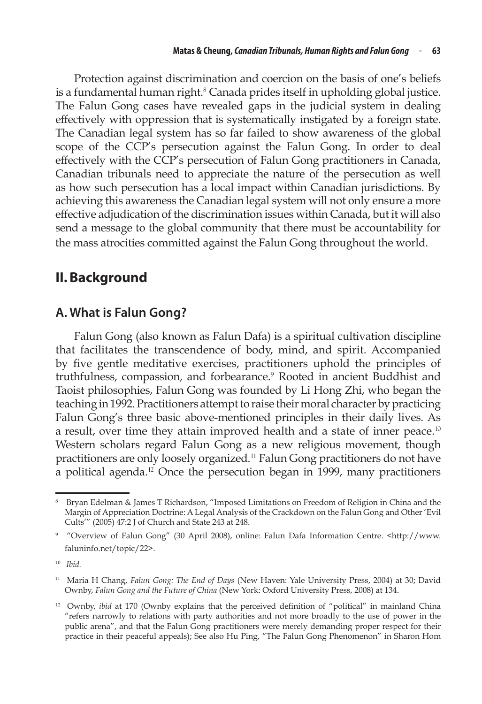Protection against discrimination and coercion on the basis of one's beliefs is a fundamental human right. $8$  Canada prides itself in upholding global justice. The Falun Gong cases have revealed gaps in the judicial system in dealing effectively with oppression that is systematically instigated by a foreign state. The Canadian legal system has so far failed to show awareness of the global scope of the CCP's persecution against the Falun Gong. In order to deal effectively with the CCP's persecution of Falun Gong practitioners in Canada, Canadian tribunals need to appreciate the nature of the persecution as well as how such persecution has a local impact within Canadian jurisdictions. By achieving this awareness the Canadian legal system will not only ensure a more effective adjudication of the discrimination issues within Canada, but it will also send a message to the global community that there must be accountability for the mass atrocities committed against the Falun Gong throughout the world.

# **II.Background**

# **A. What is Falun Gong?**

Falun Gong (also known as Falun Dafa) is a spiritual cultivation discipline that facilitates the transcendence of body, mind, and spirit. Accompanied by five gentle meditative exercises, practitioners uphold the principles of truthfulness, compassion, and forbearance.<sup>9</sup> Rooted in ancient Buddhist and Taoist philosophies, Falun Gong was founded by Li Hong Zhi, who began the teaching in 1992. Practitioners attempt to raise their moral character by practicing Falun Gong's three basic above-mentioned principles in their daily lives. As a result, over time they attain improved health and a state of inner peace.<sup>10</sup> Western scholars regard Falun Gong as a new religious movement, though practitioners are only loosely organized.<sup>11</sup> Falun Gong practitioners do not have a political agenda.<sup>12</sup> Once the persecution began in 1999, many practitioners

<sup>8</sup> Bryan Edelman & James T Richardson, "Imposed Limitations on Freedom of Religion in China and the Margin of Appreciation Doctrine: A Legal Analysis of the Crackdown on the Falun Gong and Other 'Evil Cults'" (2005) 47:2 J of Church and State 243 at 248.

<sup>9</sup> "Overview of Falun Gong" (30 April 2008), online: Falun Dafa Information Centre. <http://www. faluninfo.net/topic/22>.

<sup>10</sup> *Ibid.* 

<sup>&</sup>lt;sup>11</sup> Maria H Chang, *Falun Gong: The End of Days* (New Haven: Yale University Press, 2004) at 30; David Ownby, *Falun Gong and the Future of China* (New York: Oxford University Press, 2008) at 134.

<sup>&</sup>lt;sup>12</sup> Ownby, *ibid* at 170 (Ownby explains that the perceived definition of "political" in mainland China "refers narrowly to relations with party authorities and not more broadly to the use of power in the public arena", and that the Falun Gong practitioners were merely demanding proper respect for their practice in their peaceful appeals); See also Hu Ping, "The Falun Gong Phenomenon" in Sharon Hom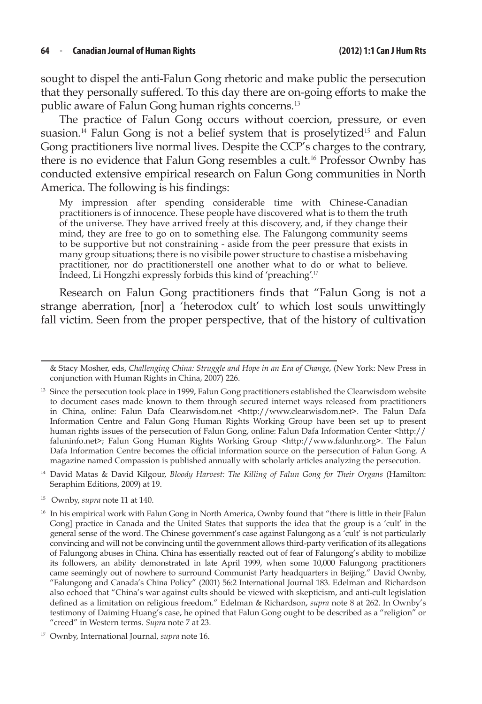#### **64**  <sup>n</sup> **Canadian Journal of Human Rights (2012) 1:1 Can J HumRts**

sought to dispel the anti-Falun Gong rhetoric and make public the persecution that they personally suffered. To this day there are on-going efforts to make the public aware of Falun Gong human rights concerns.<sup>13</sup>

The practice of Falun Gong occurs without coercion, pressure, or even suasion.<sup>14</sup> Falun Gong is not a belief system that is proselytized<sup>15</sup> and Falun Gong practitioners live normal lives. Despite the CCP's charges to the contrary, there is no evidence that Falun Gong resembles a cult.<sup>16</sup> Professor Ownby has conducted extensive empirical research on Falun Gong communities in North America. The following is his findings:

My impression after spending considerable time with Chinese-Canadian practitioners is of innocence. These people have discovered what is to them the truth of the universe. They have arrived freely at this discovery, and, if they change their mind, they are free to go on to something else. The Falungong community seems to be supportive but not constraining - aside from the peer pressure that exists in many group situations; there is no visibile power structure to chastise a misbehaving practitioner, nor do practitionerstell one another what to do or what to believe. Indeed, Li Hongzhi expressly forbids this kind of 'preaching'.<sup>17</sup>

Research on Falun Gong practitioners finds that "Falun Gong is not a strange aberration, [nor] a 'heterodox cult' to which lost souls unwittingly fall victim. Seen from the proper perspective, that of the history of cultivation

<sup>15</sup> Ownby, *supra* note 11 at 140.

<sup>&</sup>amp; Stacy Mosher, eds, *Challenging China: Struggle and Hope in an Era of Change*, (New York: New Press in conjunction with Human Rights in China, 2007) 226.

<sup>&</sup>lt;sup>13</sup> Since the persecution took place in 1999, Falun Gong practitioners established the Clearwisdom website to document cases made known to them through secured internet ways released from practitioners in China, online: Falun Dafa Clearwisdom.net <http://www.clearwisdom.net>. The Falun Dafa Information Centre and Falun Gong Human Rights Working Group have been set up to present human rights issues of the persecution of Falun Gong, online: Falun Dafa Information Center <http:// faluninfo.net>; Falun Gong Human Rights Working Group <http://www.falunhr.org>. The Falun Dafa Information Centre becomes the official information source on the persecution of Falun Gong. A magazine named Compassion is published annually with scholarly articles analyzing the persecution.

<sup>&</sup>lt;sup>14</sup> David Matas & David Kilgour, *Bloody Harvest: The Killing of Falun Gong for Their Organs (Hamilton:* Seraphim Editions, 2009) at 19.

<sup>&</sup>lt;sup>16</sup> In his empirical work with Falun Gong in North America, Ownby found that "there is little in their [Falun Gong] practice in Canada and the United States that supports the idea that the group is a 'cult' in the general sense of the word. The Chinese government's case against Falungong as a 'cult' is not particularly convincing and will not be convincing until the government allows third-party verification of its allegations of Falungong abuses in China. China has essentially reacted out of fear of Falungong's ability to mobilize its followers, an ability demonstrated in late April 1999, when some 10,000 Falungong practitioners came seemingly out of nowhere to surround Communist Party headquarters in Beijing." David Ownby, "Falungong and Canada's China Policy" (2001) 56:2 International Journal 183. Edelman and Richardson also echoed that "China's war against cults should be viewed with skepticism, and anti-cult legislation defined as a limitation on religious freedom." Edelman & Richardson, *supra* note 8 at 262. In Ownby's testimony of Daiming Huang's case, he opined that Falun Gong ought to be described as a "religion" or "creed" in Western terms. *Supra* note 7 at 23.

<sup>17</sup> Ownby, International Journal, *supra* note 16.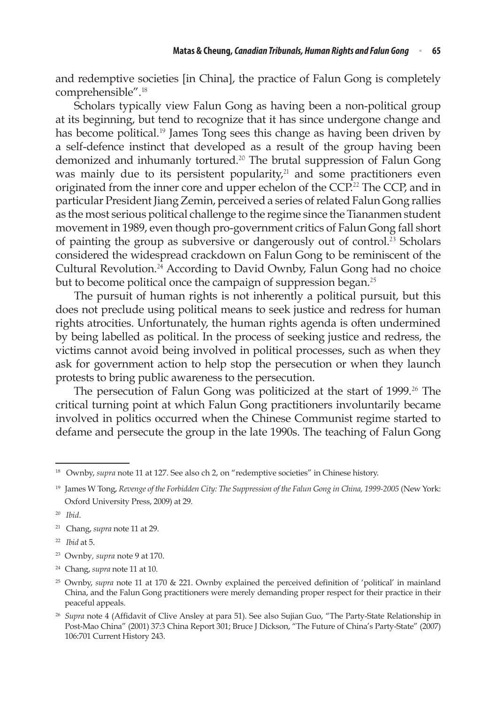and redemptive societies [in China], the practice of Falun Gong is completely comprehensible".<sup>18</sup>

Scholars typically view Falun Gong as having been a non-political group at its beginning, but tend to recognize that it has since undergone change and has become political.<sup>19</sup> James Tong sees this change as having been driven by a self‑defence instinct that developed as a result of the group having been demonized and inhumanly tortured.<sup>20</sup> The brutal suppression of Falun Gong was mainly due to its persistent popularity, $21$  and some practitioners even originated from the inner core and upper echelon of the CCP.<sup>22</sup> The CCP, and in particular President Jiang Zemin, perceived a series of related Falun Gong rallies as the most serious political challenge to the regime since the Tiananmen student movement in 1989, even though pro‑government critics of Falun Gong fall short of painting the group as subversive or dangerously out of control.<sup>23</sup> Scholars considered the widespread crackdown on Falun Gong to be reminiscent of the Cultural Revolution.<sup>24</sup> According to David Ownby, Falun Gong had no choice but to become political once the campaign of suppression began.<sup>25</sup>

The pursuit of human rights is not inherently a political pursuit, but this does not preclude using political means to seek justice and redress for human rights atrocities. Unfortunately, the human rights agenda is often undermined by being labelled as political. In the process of seeking justice and redress, the victims cannot avoid being involved in political processes, such as when they ask for government action to help stop the persecution or when they launch protests to bring public awareness to the persecution.

The persecution of Falun Gong was politicized at the start of 1999.<sup>26</sup> The critical turning point at which Falun Gong practitioners involuntarily became involved in politics occurred when the Chinese Communist regime started to defame and persecute the group in the late 1990s. The teaching of Falun Gong

- <sup>21</sup> Chang, *supra* note 11 at 29.
- <sup>22</sup> *Ibid* at 5.
- <sup>23</sup> Ownby*, supra* note 9 at 170.
- <sup>24</sup> Chang, *supra* note 11 at 10.

<sup>&</sup>lt;sup>18</sup> Ownby, *supra* note 11 at 127. See also ch 2, on "redemptive societies" in Chinese history.

<sup>19</sup> James W Tong, *Revenge of the Forbidden City: The Suppression of the Falun Gong in China, 1999‑2005* (New York: Oxford University Press, 2009) at 29.

<sup>20</sup> *Ibid*.

<sup>&</sup>lt;sup>25</sup> Ownby, *supra* note 11 at 170 & 221. Ownby explained the perceived definition of 'political' in mainland China, and the Falun Gong practitioners were merely demanding proper respect for their practice in their peaceful appeals.

<sup>26</sup> *Supra* note 4 (Affidavit of Clive Ansley at para 51). See also Sujian Guo, "The Party-State Relationship in Post-Mao China" (2001) 37:3 China Report 301; Bruce J Dickson, "The Future of China's Party-State" (2007) 106:701 Current History 243.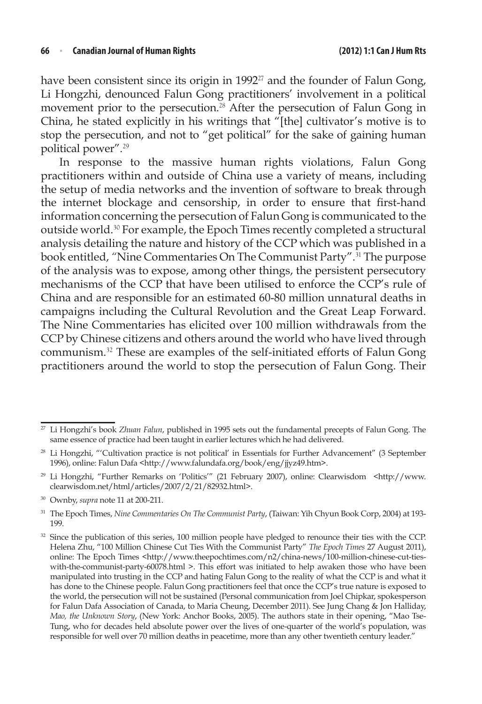#### **66**  <sup>n</sup> **Canadian Journal of Human Rights (2012) 1:1 Can J HumRts**

have been consistent since its origin in 1992<sup>27</sup> and the founder of Falun Gong, Li Hongzhi, denounced Falun Gong practitioners' involvement in a political movement prior to the persecution.<sup>28</sup> After the persecution of Falun Gong in China, he stated explicitly in his writings that "[the] cultivator's motive is to stop the persecution, and not to "get political" for the sake of gaining human political power".<sup>29</sup>

In response to the massive human rights violations, Falun Gong practitioners within and outside of China use a variety of means, including the setup of media networks and the invention of software to break through the internet blockage and censorship, in order to ensure that first-hand information concerning the persecution of Falun Gong is communicated to the outside world.<sup>30</sup> For example, the Epoch Times recently completed a structural analysis detailing the nature and history of the CCP which was published in a book entitled, "Nine Commentaries On The Communist Party".<sup>31</sup> The purpose of the analysis was to expose, among other things, the persistent persecutory mechanisms of the CCP that have been utilised to enforce the CCP's rule of China and are responsible for an estimated 60‑80 million unnatural deaths in campaigns including the Cultural Revolution and the Great Leap Forward. The Nine Commentaries has elicited over 100 million withdrawals from the CCP by Chinese citizens and others around the world who have lived through communism.<sup>32</sup> These are examples of the self-initiated efforts of Falun Gong practitioners around the world to stop the persecution of Falun Gong. Their

<sup>27</sup> Li Hongzhi's book *Zhuan Falun*, published in 1995 sets out the fundamental precepts of Falun Gong. The same essence of practice had been taught in earlier lectures which he had delivered.

<sup>28</sup> Li Hongzhi, "'Cultivation practice is not political' in Essentials for Further Advancement" (3 September 1996), online: Falun Dafa <http://www.falundafa.org/book/eng/jjyz49.htm>.

<sup>&</sup>lt;sup>29</sup> Li Hongzhi, "Further Remarks on 'Politics'" (21 February 2007), online: Clearwisdom <http://www. clearwisdom.net/html/articles/2007/2/21/82932.html>.

<sup>&</sup>lt;sup>30</sup> Ownby, *supra* note 11 at 200-211.

<sup>31</sup> The Epoch Times, *Nine Commentaries On The Communist Party*, (Taiwan: Yih Chyun Book Corp, 2004) at 193- 199.

<sup>&</sup>lt;sup>32</sup> Since the publication of this series, 100 million people have pledged to renounce their ties with the CCP. Helena Zhu, "100 Million Chinese Cut Ties With the Communist Party" *The Epoch Times* 27 August 2011), online: The Epoch Times <http://www.theepochtimes.com/n2/china-news/100-million-chinese-cut-tieswith-the-communist-party-60078.html >. This effort was initiated to help awaken those who have been manipulated into trusting in the CCP and hating Falun Gong to the reality of what the CCP is and what it has done to the Chinese people. Falun Gong practitioners feel that once the CCP's true nature is exposed to the world, the persecution will not be sustained (Personal communication from Joel Chipkar, spokesperson for Falun Dafa Association of Canada, to Maria Cheung, December 2011). See Jung Chang & Jon Halliday, *Mao, the Unknown Story*, (New York: Anchor Books, 2005). The authors state in their opening, "Mao Tse-Tung, who for decades held absolute power over the lives of one-quarter of the world's population, was responsible for well over 70 million deaths in peacetime, more than any other twentieth century leader."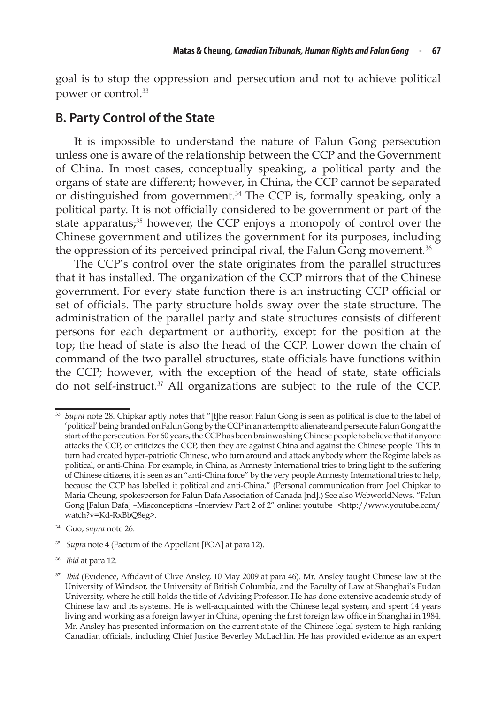goal is to stop the oppression and persecution and not to achieve political power or control.<sup>33</sup>

### **B. Party Control of the State**

It is impossible to understand the nature of Falun Gong persecution unless one is aware of the relationship between the CCP and the Government of China. In most cases, conceptually speaking, a political party and the organs of state are different; however, in China, the CCP cannot be separated or distinguished from government.<sup>34</sup> The CCP is, formally speaking, only a political party. It is not officially considered to be government or part of the state apparatus;<sup>35</sup> however, the CCP enjoys a monopoly of control over the Chinese government and utilizes the government for its purposes, including the oppression of its perceived principal rival, the Falun Gong movement.<sup>36</sup>

The CCP's control over the state originates from the parallel structures that it has installed. The organization of the CCP mirrors that of the Chinese government. For every state function there is an instructing CCP official or set of officials. The party structure holds sway over the state structure. The administration of the parallel party and state structures consists of different persons for each department or authority, except for the position at the top; the head of state is also the head of the CCP. Lower down the chain of command of the two parallel structures, state officials have functions within the CCP; however, with the exception of the head of state, state officials do not self-instruct.<sup>37</sup> All organizations are subject to the rule of the CCP.

<sup>36</sup> *Ibid* at para 12.

<sup>33</sup> *Supra* note 28. Chipkar aptly notes that "[t]he reason Falun Gong is seen as political is due to the label of 'political' being branded on Falun Gong by the CCP in an attempt to alienate and persecute Falun Gong at the start of the persecution. For 60 years, the CCP has been brainwashing Chinese people to believe that if anyone attacks the CCP, or criticizes the CCP, then they are against China and against the Chinese people. This in turn had created hyper-patriotic Chinese, who turn around and attack anybody whom the Regime labels as political, or anti-China. For example, in China, as Amnesty International tries to bring light to the suffering of Chinese citizens, it is seen as an "anti-China force" by the very peopleAmnesty International tries to help, because the CCP has labelled it political and anti-China." (Personal communication from Joel Chipkar to Maria Cheung, spokesperson for Falun Dafa Association of Canada [nd].) See also WebworldNews, "Falun Gong [Falun Dafa] -Misconceptions -Interview Part 2 of 2" online: youtube <http://www.youtube.com/ watch?v=Kd‑RxBbQ8eg>.

<sup>34</sup> Guo, *supra* note 26.

<sup>35</sup> *Supra* note 4 (Factum of the Appellant [FOA] at para 12).

<sup>&</sup>lt;sup>37</sup> *Ibid* (Evidence, Affidavit of Clive Ansley, 10 May 2009 at para 46). Mr. Ansley taught Chinese law at the University of Windsor, the University of British Columbia, and the Faculty of Law at Shanghai's Fudan University, where he still holds the title of Advising Professor. He has done extensive academic study of Chinese law and its systems. He is well-acquainted with the Chinese legal system, and spent 14 years living and working as a foreign lawyer in China, opening the first foreign law office in Shanghai in 1984. Mr. Ansley has presented information on the current state of the Chinese legal system to high-ranking Canadian officials, including Chief Justice Beverley McLachlin. He has provided evidence as an expert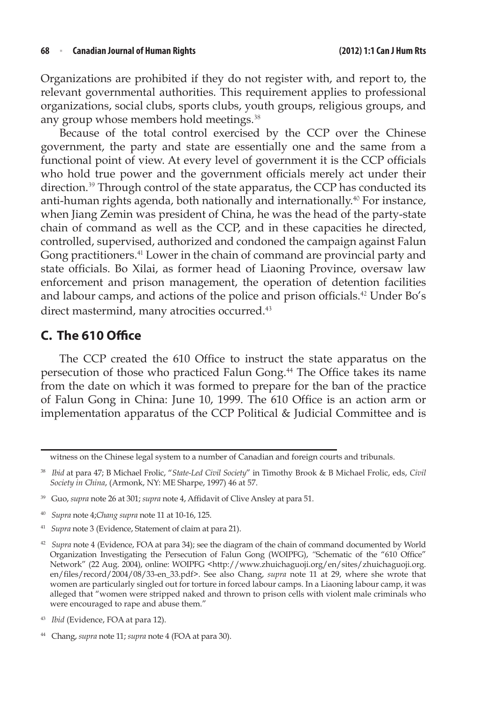Organizations are prohibited if they do not register with, and report to, the relevant governmental authorities. This requirement applies to professional organizations, social clubs, sports clubs, youth groups, religious groups, and any group whose members hold meetings.<sup>38</sup>

Because of the total control exercised by the CCP over the Chinese government, the party and state are essentially one and the same from a functional point of view. At every level of government it is the CCP officials who hold true power and the government officials merely act under their direction.<sup>39</sup> Through control of the state apparatus, the CCP has conducted its anti-human rights agenda, both nationally and internationally.<sup>40</sup> For instance, when Jiang Zemin was president of China, he was the head of the party-state chain of command as well as the CCP, and in these capacities he directed, controlled, supervised, authorized and condoned the campaign against Falun Gong practitioners.<sup>41</sup> Lower in the chain of command are provincial party and state officials. Bo Xilai, as former head of Liaoning Province, oversaw law enforcement and prison management, the operation of detention facilities and labour camps, and actions of the police and prison officials.<sup>42</sup> Under Bo's direct mastermind, many atrocities occurred.<sup>43</sup>

# **C. The 610 Office**

The CCP created the 610 Office to instruct the state apparatus on the persecution of those who practiced Falun Gong.<sup>44</sup> The Office takes its name from the date on which it was formed to prepare for the ban of the practice of Falun Gong in China: June 10, 1999. The 610 Office is an action arm or implementation apparatus of the CCP Political & Judicial Committee and is

- <sup>40</sup> *Supra* note 4;*Chang supra* note 11 at 10-16, 125.
- <sup>41</sup> *Supra* note 3 (Evidence, Statement of claim at para 21).

*Ibid* (Evidence, FOA at para 12).

witness on the Chinese legal system to a number of Canadian and foreign courts and tribunals.

<sup>38</sup> *Ibid* at para 47; B Michael Frolic, "*State-Led Civil Society*" in Timothy Brook & B Michael Frolic, eds, *Civil Society in China*, (Armonk, NY: ME Sharpe, 1997) 46 at 57.

<sup>39</sup> Guo, *supra* note 26 at 301; *supra* note 4, Affidavit of Clive Ansley at para 51.

<sup>42</sup> *Supra* note 4 (Evidence, FOA at para 34); see the diagram of the chain of command documented by World Organization Investigating the Persecution of Falun Gong (WOIPFG), *"*Schematic of the "610 Office" Network" (22 Aug. 2004), online: WOIPFG <http://www.zhuichaguoji.org/en/sites/zhuichaguoji.org. en/files/record/2004/08/33-en\_33.pdf>. See also Chang, *supra* note 11 at 29, where she wrote that women are particularly singled out for torture in forced labour camps. In a Liaoning labour camp, it was alleged that "women were stripped naked and thrown to prison cells with violent male criminals who were encouraged to rape and abuse them."

<sup>44</sup> Chang, *supra* note 11; *supra* note 4 (FOA at para 30).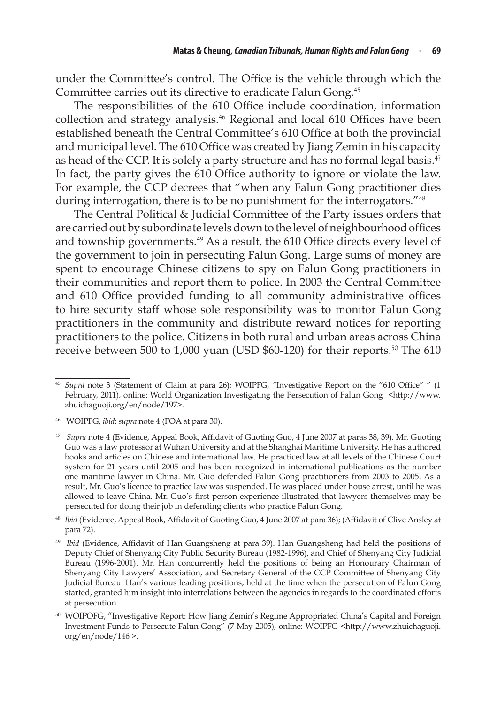under the Committee's control. The Office is the vehicle through which the Committee carries out its directive to eradicate Falun Gong.<sup>45</sup>

The responsibilities of the 610 Office include coordination, information collection and strategy analysis.<sup>46</sup> Regional and local 610 Offices have been established beneath the Central Committee's 610 Office at both the provincial and municipal level. The 610 Office was created by Jiang Zemin in his capacity as head of the CCP. It is solely a party structure and has no formal legal basis.<sup>47</sup> In fact, the party gives the 610 Office authority to ignore or violate the law. For example, the CCP decrees that "when any Falun Gong practitioner dies during interrogation, there is to be no punishment for the interrogators."<sup>48</sup>

The Central Political & Judicial Committee of the Party issues orders that are carried out by subordinate levels down to the level of neighbourhood offices and township governments.<sup>49</sup> As a result, the 610 Office directs every level of the government to join in persecuting Falun Gong. Large sums of money are spent to encourage Chinese citizens to spy on Falun Gong practitioners in their communities and report them to police. In 2003 the Central Committee and 610 Office provided funding to all community administrative offices to hire security staff whose sole responsibility was to monitor Falun Gong practitioners in the community and distribute reward notices for reporting practitioners to the police. Citizens in both rural and urban areas across China receive between 500 to 1,000 yuan (USD \$60-120) for their reports.<sup>50</sup> The 610

<sup>45</sup> *Supra* note 3 (Statement of Claim at para 26); WOIPFG, *"*Investigative Report on the "610 Office" " (1 February, 2011), online: World Organization Investigating the Persecution of Falun Gong <http://www. zhuichaguoji.org/en/node/197>.

<sup>46</sup> WOIPFG, *ibid*; *supra* note 4 (FOA at para 30).

<sup>47</sup> *Supra* note 4 (Evidence, Appeal Book, Affidavit of Guoting Guo, 4 June 2007 at paras 38, 39). Mr. Guoting Guo was a law professor at Wuhan University and at the Shanghai Maritime University. He has authored books and articles on Chinese and international law. He practiced law at all levels of the Chinese Court system for 21 years until 2005 and has been recognized in international publications as the number one maritime lawyer in China. Mr. Guo defended Falun Gong practitioners from 2003 to 2005. As a result, Mr. Guo's licence to practice law was suspended. He was placed under house arrest, until he was allowed to leave China. Mr. Guo's first person experience illustrated that lawyers themselves may be persecuted for doing their job in defending clients who practice Falun Gong.

<sup>48</sup> *Ibid* (Evidence, Appeal Book, Affidavit of Guoting Guo, 4 June 2007 at para 36); (Affidavit of Clive Ansley at para 72).

<sup>49</sup> *Ibid* (Evidence, Affidavit of Han Guangsheng at para 39). Han Guangsheng had held the positions of Deputy Chief of Shenyang City Public Security Bureau (1982-1996), and Chief of Shenyang City Judicial Bureau (1996-2001). Mr. Han concurrently held the positions of being an Honourary Chairman of Shenyang City Lawyers' Association, and Secretary General of the CCP Committee of Shenyang City Judicial Bureau. Han's various leading positions, held at the time when the persecution of Falun Gong started, granted him insight into interrelations between the agencies in regards to the coordinated efforts at persecution.

<sup>50</sup> WOIPOFG, "Investigative Report: How Jiang Zemin's Regime Appropriated China's Capital and Foreign Investment Funds to Persecute Falun Gong" (7 May 2005), online: WOIPFG <http://www.zhuichaguoji. org/en/node/146 >.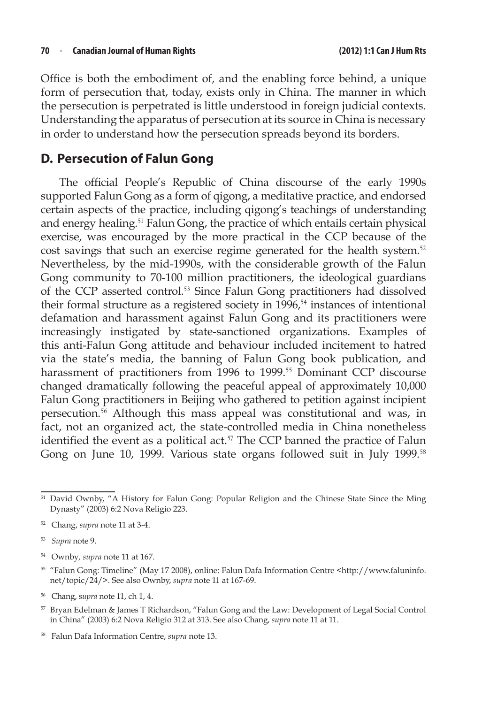Office is both the embodiment of, and the enabling force behind, a unique form of persecution that, today, exists only in China. The manner in which the persecution is perpetrated is little understood in foreign judicial contexts. Understanding the apparatus of persecution at its source in China is necessary in order to understand how the persecution spreads beyond its borders.

# **D. Persecution of Falun Gong**

The official People's Republic of China discourse of the early 1990s supported Falun Gong as a form of qigong, a meditative practice, and endorsed certain aspects of the practice, including qigong's teachings of understanding and energy healing.<sup>51</sup> Falun Gong, the practice of which entails certain physical exercise, was encouraged by the more practical in the CCP because of the cost savings that such an exercise regime generated for the health system.<sup>52</sup> Nevertheless, by the mid-1990s, with the considerable growth of the Falun Gong community to 70-100 million practitioners, the ideological guardians of the CCP asserted control.<sup>53</sup> Since Falun Gong practitioners had dissolved their formal structure as a registered society in  $1996$ <sup>54</sup> instances of intentional defamation and harassment against Falun Gong and its practitioners were increasingly instigated by state-sanctioned organizations. Examples of this anti-Falun Gong attitude and behaviour included incitement to hatred via the state's media, the banning of Falun Gong book publication, and harassment of practitioners from 1996 to 1999.<sup>55</sup> Dominant CCP discourse changed dramatically following the peaceful appeal of approximately 10,000 Falun Gong practitioners in Beijing who gathered to petition against incipient persecution.<sup>56</sup> Although this mass appeal was constitutional and was, in fact, not an organized act, the state-controlled media in China nonetheless identified the event as a political act. $57$  The CCP banned the practice of Falun Gong on June 10, 1999. Various state organs followed suit in July 1999.<sup>58</sup>

<sup>51</sup> David Ownby, "A History for Falun Gong: Popular Religion and the Chinese State Since the Ming Dynasty" (2003) 6:2 Nova Religio 223.

<sup>52</sup> Chang, *supra* note 11 at 3-4.

<sup>53</sup> *Supra* note 9.

<sup>54</sup> Ownby*, supra* note 11 at 167.

<sup>55</sup> "Falun Gong: Timeline" (May 17 2008), online: Falun Dafa Information Centre <http://www.faluninfo. net/topic/24/>. See also Ownby, *supra* note 11 at 167-69.

<sup>56</sup> Chang, s*upra* note 11, ch 1, 4.

<sup>57</sup> Bryan Edelman & James T Richardson, "Falun Gong and the Law: Development of Legal Social Control in China" (2003) 6:2 Nova Religio 312 at 313. See also Chang, *supra* note 11 at 11.

<sup>58</sup> Falun Dafa Information Centre, *supra* note 13.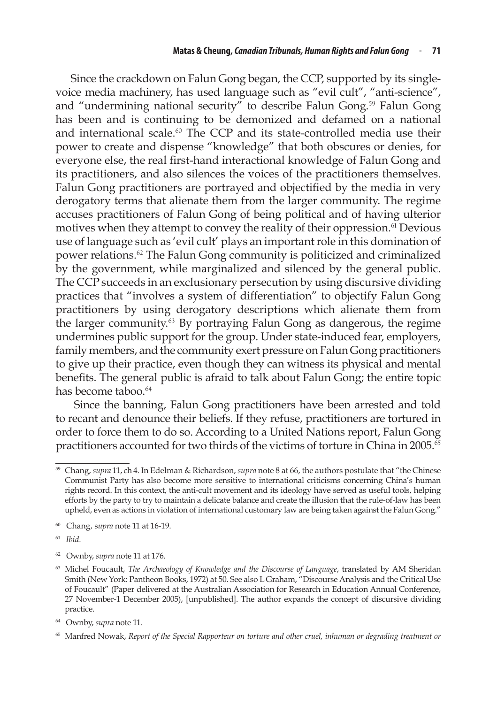Since the crackdown on Falun Gong began, the CCP, supported by its singlevoice media machinery, has used language such as "evil cult", "anti-science", and "undermining national security" to describe Falun Gong.<sup>59</sup> Falun Gong has been and is continuing to be demonized and defamed on a national and international scale.<sup>60</sup> The CCP and its state-controlled media use their power to create and dispense "knowledge" that both obscures or denies, for everyone else, the real first-hand interactional knowledge of Falun Gong and its practitioners, and also silences the voices of the practitioners themselves. Falun Gong practitioners are portrayed and objectified by the media in very derogatory terms that alienate them from the larger community. The regime accuses practitioners of Falun Gong of being political and of having ulterior motives when they attempt to convey the reality of their oppression.<sup>61</sup> Devious use of language such as 'evil cult' plays an important role in this domination of power relations.<sup>62</sup> The Falun Gong community is politicized and criminalized by the government, while marginalized and silenced by the general public. The CCP succeeds in an exclusionary persecution by using discursive dividing practices that "involves a system of differentiation" to objectify Falun Gong practitioners by using derogatory descriptions which alienate them from the larger community. $63$  By portraying Falun Gong as dangerous, the regime undermines public support for the group. Under state‑induced fear, employers, family members, and the community exert pressure on Falun Gong practitioners to give up their practice, even though they can witness its physical and mental benefits. The general public is afraid to talk about Falun Gong; the entire topic has become taboo.<sup>64</sup>

Since the banning, Falun Gong practitioners have been arrested and told to recant and denounce their beliefs. If they refuse, practitioners are tortured in order to force them to do so. According to a United Nations report, Falun Gong practitioners accounted for two thirds of the victims of torture in China in 2005. $\overline{65}$ 

<sup>59</sup> Chang, *supra* 11, ch 4. In Edelman & Richardson, *supra* note 8 at 66, the authors postulate that "the Chinese Communist Party has also become more sensitive to international criticisms concerning China's human rights record. In this context, the anti‑cult movement and its ideology have served as useful tools, helping efforts by the party to try to maintain a delicate balance and create the illusion that the rule-of-law has been upheld, even as actions in violation of international customary law are being taken against the Falun Gong."

<sup>60</sup> Chang, s*upra* note 11 at 16-19.

<sup>61</sup> *Ibid*.

<sup>62</sup> Ownby, *supra* note 11 at 176.

<sup>&</sup>lt;sup>63</sup> Michel Foucault, *The Archaeology of Knowledge and the Discourse of Language*, translated by AM Sheridan Smith (New York: Pantheon Books, 1972) at 50. See also L Graham, "Discourse Analysis and the Critical Use of Foucault" (Paper delivered at the Australian Association for Research in Education Annual Conference, 27 November-1 December 2005), [unpublished]. The author expands the concept of discursive dividing practice.

<sup>64</sup> Ownby, *supra* note 11.

<sup>65</sup> Manfred Nowak, *Report of the Special Rapporteur on torture and other cruel, inhuman or degrading treatment or*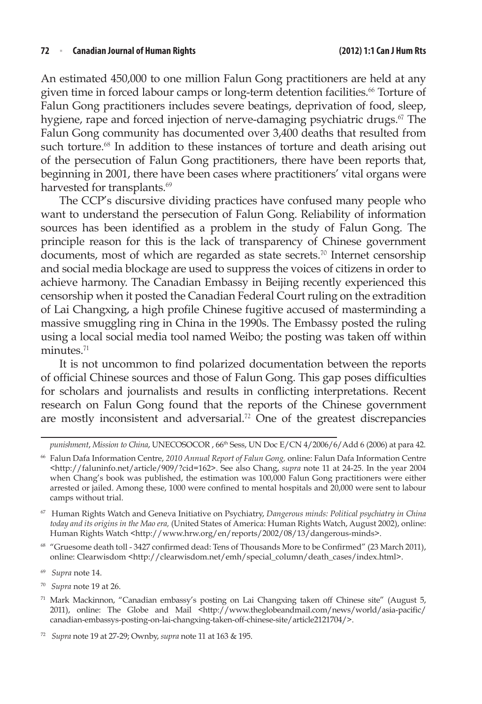An estimated 450,000 to one million Falun Gong practitioners are held at any given time in forced labour camps or long-term detention facilities.<sup>66</sup> Torture of Falun Gong practitioners includes severe beatings, deprivation of food, sleep, hygiene, rape and forced injection of nerve-damaging psychiatric drugs.<sup>67</sup> The Falun Gong community has documented over 3,400 deaths that resulted from such torture.<sup>68</sup> In addition to these instances of torture and death arising out of the persecution of Falun Gong practitioners, there have been reports that, beginning in 2001, there have been cases where practitioners' vital organs were harvested for transplants.<sup>69</sup>

The CCP's discursive dividing practices have confused many people who want to understand the persecution of Falun Gong. Reliability of information sources has been identified as a problem in the study of Falun Gong. The principle reason for this is the lack of transparency of Chinese government documents, most of which are regarded as state secrets.<sup>70</sup> Internet censorship and social media blockage are used to suppress the voices of citizens in order to achieve harmony. The Canadian Embassy in Beijing recently experienced this censorship when it posted the Canadian Federal Court ruling on the extradition of Lai Changxing, a high profile Chinese fugitive accused of masterminding a massive smuggling ring in China in the 1990s. The Embassy posted the ruling using a local social media tool named Weibo; the posting was taken off within minutes.<sup>71</sup>

It is not uncommon to find polarized documentation between the reports of official Chinese sources and those of Falun Gong. This gap poses difficulties for scholars and journalists and results in conflicting interpretations. Recent research on Falun Gong found that the reports of the Chinese government are mostly inconsistent and adversarial.<sup>72</sup> One of the greatest discrepancies

<sup>70</sup> *Supra* note 19 at 26.

*punishment*, *Mission to China*, UNECOSOCOR , 66th Sess, UN Doc E/CN 4/2006/6/Add 6 (2006) at para 42.

<sup>66</sup> Falun Dafa Information Centre, *2010 Annual Report of Falun Gong,* online: Falun Dafa Information Centre <http://faluninfo.net/article/909/?cid=162>. See also Chang, *supra* note 11 at 24-25. In the year 2004 when Chang's book was published, the estimation was 100,000 Falun Gong practitioners were either arrested or jailed. Among these, 1000 were confined to mental hospitals and 20,000 were sent to labour camps without trial.

<sup>67</sup> Human Rights Watch and Geneva Initiative on Psychiatry, *Dangerous minds: Political psychiatry in China today and its origins in the Mao era,* (United States of America: Human Rights Watch, August 2002), online: Human Rights Watch <http://www.hrw.org/en/reports/2002/08/13/dangerous-minds>.

<sup>68</sup> "Gruesome death toll - 3427 confirmed dead: Tens of Thousands More to be Confirmed" (23 March 2011), online: Clearwisdom <http://clearwisdom.net/emh/special\_column/death\_cases/index.html>.

<sup>69</sup> *Supra* note 14.

<sup>71</sup> Mark Mackinnon, "Canadian embassy's posting on Lai Changxing taken off Chinese site" (August 5, 2011), online: The Globe and Mail <http://www.theglobeandmail.com/news/world/asia-pacific/ canadian-embassys-posting-on-lai-changxing-taken-off-chinese-site/article2121704/>.

<sup>72</sup> *Supra* note 19 at 27‑29; Ownby, *supra* note 11 at 163 & 195.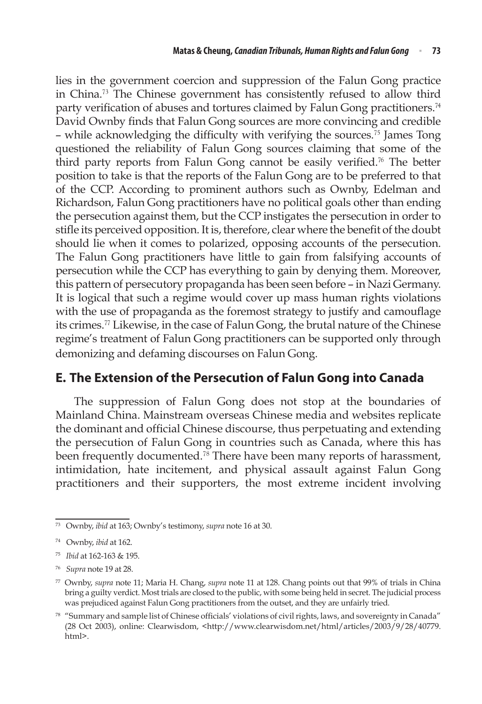lies in the government coercion and suppression of the Falun Gong practice in China.<sup>73</sup> The Chinese government has consistently refused to allow third party verification of abuses and tortures claimed by Falun Gong practitioners.<sup>74</sup> David Ownby finds that Falun Gong sources are more convincing and credible – while acknowledging the difficulty with verifying the sources.<sup>75</sup> James Tong questioned the reliability of Falun Gong sources claiming that some of the third party reports from Falun Gong cannot be easily verified.<sup>76</sup> The better position to take is that the reports of the Falun Gong are to be preferred to that of the CCP. According to prominent authors such as Ownby, Edelman and Richardson, Falun Gong practitioners have no political goals other than ending the persecution against them, but the CCP instigates the persecution in order to stifle its perceived opposition. It is, therefore, clear where the benefit of the doubt should lie when it comes to polarized, opposing accounts of the persecution. The Falun Gong practitioners have little to gain from falsifying accounts of persecution while the CCP has everything to gain by denying them. Moreover, this pattern of persecutory propaganda has been seen before – in Nazi Germany. It is logical that such a regime would cover up mass human rights violations with the use of propaganda as the foremost strategy to justify and camouflage its crimes.<sup>77</sup> Likewise, in the case of Falun Gong, the brutal nature of the Chinese regime's treatment of Falun Gong practitioners can be supported only through demonizing and defaming discourses on Falun Gong.

### **E. The Extension of the Persecution of Falun Gong into Canada**

The suppression of Falun Gong does not stop at the boundaries of Mainland China. Mainstream overseas Chinese media and websites replicate the dominant and official Chinese discourse, thus perpetuating and extending the persecution of Falun Gong in countries such as Canada, where this has been frequently documented.<sup>78</sup> There have been many reports of harassment, intimidation, hate incitement, and physical assault against Falun Gong practitioners and their supporters, the most extreme incident involving

<sup>73</sup> Ownby, *ibid* at 163; Ownby's testimony, *supra* note 16 at 30.

<sup>74</sup> Ownby, *ibid* at 162.

<sup>75</sup> *Ibid* at 162‑163 & 195.

<sup>76</sup> *Supra* note 19 at 28.

<sup>77</sup> Ownby, *supra* note 11; Maria H. Chang, *supra* note 11 at 128. Chang points out that 99% of trials in China bring a guilty verdict. Most trials are closed to the public, with some being held in secret. The judicial process was prejudiced against Falun Gong practitioners from the outset, and they are unfairly tried*.*

<sup>78 &</sup>quot;Summary and sample list of Chinese officials' violations of civil rights, laws, and sovereignty in Canada" (28 Oct 2003), online: Clearwisdom, <http://www.clearwisdom.net/html/articles/2003/9/28/40779. html>.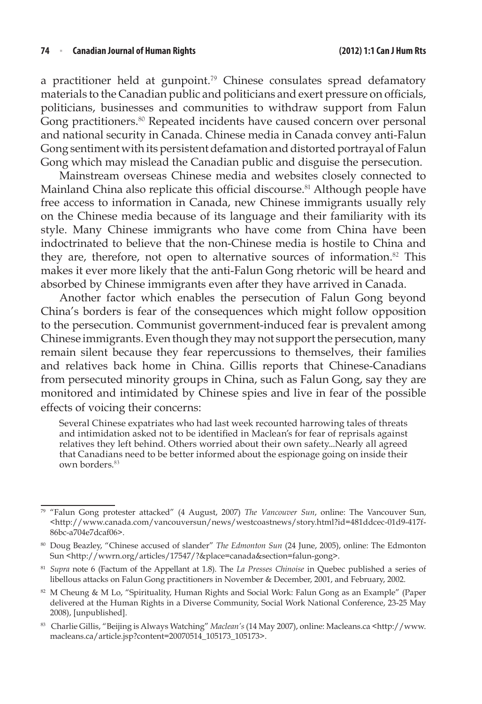a practitioner held at gunpoint.<sup>79</sup> Chinese consulates spread defamatory materials to the Canadian public and politicians and exert pressure on officials, politicians, businesses and communities to withdraw support from Falun Gong practitioners.<sup>80</sup> Repeated incidents have caused concern over personal and national security in Canada. Chinese media in Canada convey anti-Falun Gong sentiment with its persistent defamation and distorted portrayal of Falun Gong which may mislead the Canadian public and disguise the persecution.

Mainstream overseas Chinese media and websites closely connected to Mainland China also replicate this official discourse.<sup>81</sup> Although people have free access to information in Canada, new Chinese immigrants usually rely on the Chinese media because of its language and their familiarity with its style. Many Chinese immigrants who have come from China have been indoctrinated to believe that the non-Chinese media is hostile to China and they are, therefore, not open to alternative sources of information.<sup>82</sup> This makes it ever more likely that the anti-Falun Gong rhetoric will be heard and absorbed by Chinese immigrants even after they have arrived in Canada.

Another factor which enables the persecution of Falun Gong beyond China's borders is fear of the consequences which might follow opposition to the persecution. Communist government-induced fear is prevalent among Chinese immigrants. Even though they may not support the persecution, many remain silent because they fear repercussions to themselves, their families and relatives back home in China. Gillis reports that Chinese-Canadians from persecuted minority groups in China, such as Falun Gong, say they are monitored and intimidated by Chinese spies and live in fear of the possible effects of voicing their concerns:

Several Chinese expatriates who had last week recounted harrowing tales of threats and intimidation asked not to be identified in Maclean's for fear of reprisals against relatives they left behind. Others worried about their own safety...Nearly all agreed that Canadians need to be better informed about the espionage going on inside their own borders.<sup>83</sup>

<sup>79</sup> "Falun Gong protester attacked" (4 August, 2007) *The Vancouver Sun*, online: The Vancouver Sun, <http://www.canada.com/vancouversun/news/westcoastnews/story.html?id=481ddcec-01d9-417f-86bc-a704e7dcaf06>.

<sup>80</sup> Doug Beazley, "Chinese accused of slander" *The Edmonton Sun* (24 June, 2005), online: The Edmonton Sun <http://wwrn.org/articles/17547/?&place=canada&section=falun-gong>.

<sup>81</sup> *Supra* note 6 (Factum of the Appellant at 1.8). The *La Presses Chinoise* in Quebec published a series of libellous attacks on Falun Gong practitioners in November & December, 2001, and February, 2002.

<sup>82</sup> M Cheung & M Lo, "Spirituality, Human Rights and Social Work: Falun Gong as an Example" (Paper delivered at the Human Rights in a Diverse Community, Social Work National Conference, 23-25 May 2008), [unpublished].

<sup>83</sup> Charlie Gillis, "Beijing is Always Watching" *Maclean's* (14 May 2007), online: Macleans.ca <http://www. macleans.ca/article.jsp?content=20070514\_105173\_105173>.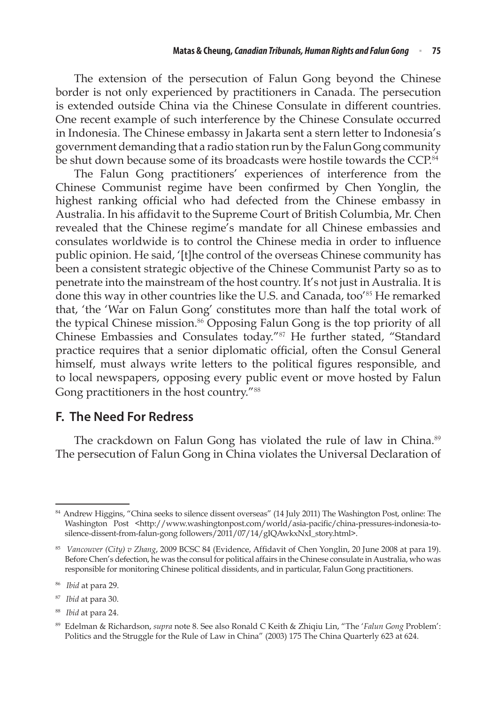The extension of the persecution of Falun Gong beyond the Chinese border is not only experienced by practitioners in Canada. The persecution is extended outside China via the Chinese Consulate in different countries. One recent example of such interference by the Chinese Consulate occurred in Indonesia. The Chinese embassy in Jakarta sent a stern letter to Indonesia's government demanding that a radio station run by the Falun Gong community be shut down because some of its broadcasts were hostile towards the CCP.<sup>84</sup>

The Falun Gong practitioners' experiences of interference from the Chinese Communist regime have been confirmed by Chen Yonglin, the highest ranking official who had defected from the Chinese embassy in Australia. In his affidavit to the Supreme Court of British Columbia, Mr. Chen revealed that the Chinese regime's mandate for all Chinese embassies and consulates worldwide is to control the Chinese media in order to influence public opinion. He said, '[t]he control of the overseas Chinese community has been a consistent strategic objective of the Chinese Communist Party so as to penetrate into the mainstream of the host country. It's not just in Australia. It is done this way in other countries like the U.S. and Canada, too<sup>'85</sup> He remarked that, 'the 'War on Falun Gong' constitutes more than half the total work of the typical Chinese mission.<sup>86</sup> Opposing Falun Gong is the top priority of all Chinese Embassies and Consulates today."<sup>87</sup> He further stated, "Standard practice requires that a senior diplomatic official, often the Consul General himself, must always write letters to the political figures responsible, and to local newspapers, opposing every public event or move hosted by Falun Gong practitioners in the host country."<sup>88</sup>

### **F. The Need For Redress**

The crackdown on Falun Gong has violated the rule of law in China.<sup>89</sup> The persecution of Falun Gong in China violates the Universal Declaration of

<sup>88</sup> *Ibid* at para 24.

<sup>84</sup> Andrew Higgins, "China seeks to silence dissent overseas" (14 July 2011) The Washington Post, online: The Washington Post <http://www.washingtonpost.com/world/asia-pacific/china-pressures-indonesia-tosilence-dissent-from-falun-gong followers/2011/07/14/gIQAwkxNxI\_story.html>.

<sup>85</sup> *Vancouver (City) v Zhang*, 2009 BCSC 84 (Evidence, Affidavit of Chen Yonglin, 20 June 2008 at para 19). Before Chen's defection, he was the consul for political affairs in the Chinese consulate in Australia, who was responsible for monitoring Chinese political dissidents, and in particular, Falun Gong practitioners.

<sup>86</sup> *Ibid* at para 29.

<sup>87</sup> *Ibid* at para 30.

<sup>89</sup> Edelman & Richardson, *supra* note 8. See also Ronald C Keith & Zhiqiu Lin, "The '*Falun Gong* Problem': Politics and the Struggle for the Rule of Law in China" (2003) 175 The China Quarterly 623 at 624.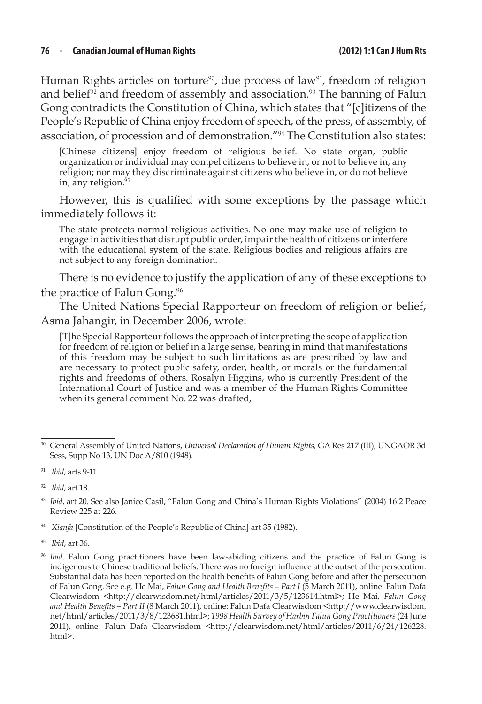#### **76**  <sup>n</sup> **Canadian Journal of Human Rights (2012) 1:1 Can J HumRts**

Human Rights articles on torture<sup>90</sup>, due process of law<sup>91</sup>, freedom of religion and belief<sup>92</sup> and freedom of assembly and association.<sup>93</sup> The banning of Falun Gong contradicts the Constitution of China, which states that "[c]itizens of the People's Republic of China enjoy freedom of speech, of the press, of assembly, of association, of procession and of demonstration."<sup>94</sup> The Constitution also states:

[Chinese citizens] enjoy freedom of religious belief. No state organ, public organization or individual may compel citizens to believe in, or not to believe in, any religion; nor may they discriminate against citizens who believe in, or do not believe in, any religion.<sup>95</sup>

However, this is qualified with some exceptions by the passage which immediately follows it:

The state protects normal religious activities. No one may make use of religion to engage in activities that disrupt public order, impair the health of citizens or interfere with the educational system of the state. Religious bodies and religious affairs are not subject to any foreign domination.

There is no evidence to justify the application of any of these exceptions to the practice of Falun Gong.<sup>96</sup>

The United Nations Special Rapporteur on freedom of religion or belief, Asma Jahangir, in December 2006, wrote:

[T]he Special Rapporteur follows the approach of interpreting the scope of application for freedom of religion or belief in a large sense, bearing in mind that manifestations of this freedom may be subject to such limitations as are prescribed by law and are necessary to protect public safety, order, health, or morals or the fundamental rights and freedoms of others. Rosalyn Higgins, who is currently President of the International Court of Justice and was a member of the Human Rights Committee when its general comment No. 22 was drafted,

<sup>94</sup> *Xianfa* [Constitution of the People's Republic of China] art 35 (1982).

<sup>95</sup> *Ibid*, art 36.

<sup>90</sup> General Assembly of United Nations, *Universal Declaration of Human Rights,* GA Res 217 (III), UNGAOR 3d Sess, Supp No 13, UN Doc A/810 (1948).

<sup>91</sup> *Ibid*, arts 9-11.

<sup>92</sup> *Ibid*, art 18.

<sup>93</sup> *Ibid*, art 20. See also Janice Casil, "Falun Gong and China's Human Rights Violations" (2004) 16:2 Peace Review 225 at 226.

<sup>96</sup> *Ibid*. Falun Gong practitioners have been law-abiding citizens and the practice of Falun Gong is indigenous to Chinese traditional beliefs. There was no foreign influence at the outset of the persecution. Substantial data has been reported on the health benefits of Falun Gong before and after the persecution of Falun Gong. See e.g. He Mai, *Falun Gong and Health Benefits – Part I* (5 March 2011), online: Falun Dafa Clearwisdom <http://clearwisdom.net/html/articles/2011/3/5/123614.html>; He Mai, *Falun Gong and Health Benefits – Part II* (8 March 2011), online: Falun Dafa Clearwisdom <http://www.clearwisdom. net/html/articles/2011/3/8/123681.html>; *1998 Health Survey of Harbin Falun Gong Practitioners* (24 June 2011), online: Falun Dafa Clearwisdom <http://clearwisdom.net/html/articles/2011/6/24/126228. html>.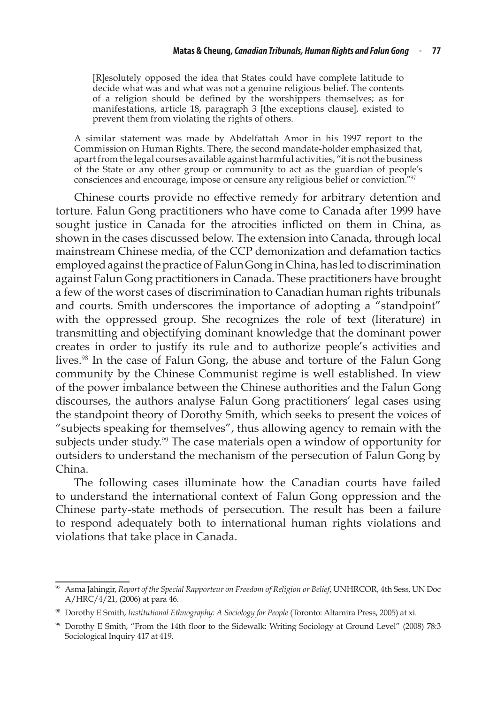[R]esolutely opposed the idea that States could have complete latitude to decide what was and what was not a genuine religious belief. The contents of a religion should be defined by the worshippers themselves; as for manifestations, article 18, paragraph 3 [the exceptions clause], existed to prevent them from violating the rights of others.

A similar statement was made by Abdelfattah Amor in his 1997 report to the Commission on Human Rights. There, the second mandate‑holder emphasized that, apart from the legal courses available against harmful activities, "it is not the business of the State or any other group or community to act as the guardian of people's consciences and encourage, impose or censure any religious belief or conviction."<sup>97</sup>

Chinese courts provide no effective remedy for arbitrary detention and torture. Falun Gong practitioners who have come to Canada after 1999 have sought justice in Canada for the atrocities inflicted on them in China, as shown in the cases discussed below. The extension into Canada, through local mainstream Chinese media, of the CCP demonization and defamation tactics employed against the practice of Falun Gong in China, has led to discrimination against Falun Gong practitioners in Canada. These practitioners have brought a few of the worst cases of discrimination to Canadian human rights tribunals and courts. Smith underscores the importance of adopting a "standpoint" with the oppressed group. She recognizes the role of text (literature) in transmitting and objectifying dominant knowledge that the dominant power creates in order to justify its rule and to authorize people's activities and lives.<sup>98</sup> In the case of Falun Gong, the abuse and torture of the Falun Gong community by the Chinese Communist regime is well established. In view of the power imbalance between the Chinese authorities and the Falun Gong discourses, the authors analyse Falun Gong practitioners' legal cases using the standpoint theory of Dorothy Smith, which seeks to present the voices of "subjects speaking for themselves", thus allowing agency to remain with the subjects under study.<sup>99</sup> The case materials open a window of opportunity for outsiders to understand the mechanism of the persecution of Falun Gong by China.

The following cases illuminate how the Canadian courts have failed to understand the international context of Falun Gong oppression and the Chinese party-state methods of persecution. The result has been a failure to respond adequately both to international human rights violations and violations that take place in Canada.

<sup>97</sup> Asma Jahingir, *Report of the Special Rapporteur on Freedom of Religion or Belief*, UNHRCOR, 4th Sess, UN Doc A/HRC/4/21, (2006) at para 46.

<sup>98</sup> Dorothy E Smith, *Institutional Ethnography: A Sociology for People* (Toronto: Altamira Press, 2005) at xi.

<sup>99</sup> Dorothy E Smith, "From the 14th floor to the Sidewalk: Writing Sociology at Ground Level" (2008) 78:3 Sociological Inquiry 417 at 419.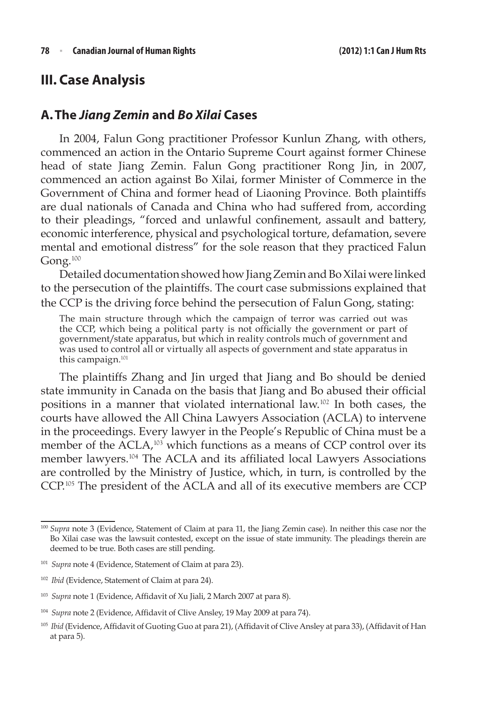## **III. Case Analysis**

### **A.The** *Jiang Zemin* **and** *Bo Xilai* **Cases**

In 2004, Falun Gong practitioner Professor Kunlun Zhang, with others, commenced an action in the Ontario Supreme Court against former Chinese head of state Jiang Zemin. Falun Gong practitioner Rong Jin, in 2007, commenced an action against Bo Xilai, former Minister of Commerce in the Government of China and former head of Liaoning Province. Both plaintiffs are dual nationals of Canada and China who had suffered from, according to their pleadings, "forced and unlawful confinement, assault and battery, economic interference, physical and psychological torture, defamation, severe mental and emotional distress" for the sole reason that they practiced Falun Gong.<sup>100</sup>

Detailed documentation showed how Jiang Zemin and Bo Xilai were linked to the persecution of the plaintiffs. The court case submissions explained that the CCP is the driving force behind the persecution of Falun Gong, stating:

The main structure through which the campaign of terror was carried out was the CCP, which being a political party is not officially the government or part of government/state apparatus, but which in reality controls much of government and was used to control all or virtually all aspects of government and state apparatus in this campaign.<sup>101</sup>

The plaintiffs Zhang and Jin urged that Jiang and Bo should be denied state immunity in Canada on the basis that Jiang and Bo abused their official positions in a manner that violated international law.<sup>102</sup> In both cases, the courts have allowed the All China Lawyers Association (ACLA) to intervene in the proceedings. Every lawyer in the People's Republic of China must be a member of the ACLA,<sup>103</sup> which functions as a means of CCP control over its member lawyers.<sup>104</sup> The ACLA and its affiliated local Lawyers Associations are controlled by the Ministry of Justice, which, in turn, is controlled by the CCP.<sup>105</sup> The president of the ACLA and all of its executive members are CCP

<sup>100</sup> *Supra* note 3 (Evidence, Statement of Claim at para 11, the Jiang Zemin case). In neither this case nor the Bo Xilai case was the lawsuit contested, except on the issue of state immunity. The pleadings therein are deemed to be true. Both cases are still pending.

<sup>101</sup> *Supra* note 4 (Evidence, Statement of Claim at para 23).

<sup>102</sup> *Ibid* (Evidence, Statement of Claim at para 24).

<sup>103</sup> *Supra* note 1 (Evidence, Affidavit of Xu Jiali, 2 March 2007 at para 8).

<sup>104</sup> *Supra* note 2 (Evidence, Affidavit of Clive Ansley, 19 May 2009 at para 74).

<sup>&</sup>lt;sup>105</sup> *Ibid* (Evidence, Affidavit of Guoting Guo at para 21), (Affidavit of Clive Ansley at para 33), (Affidavit of Han at para 5).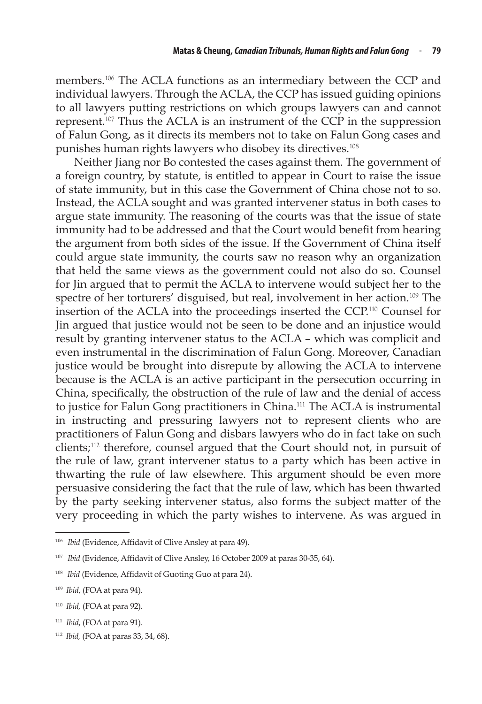members.<sup>106</sup> The ACLA functions as an intermediary between the CCP and individual lawyers. Through the ACLA, the CCP has issued guiding opinions to all lawyers putting restrictions on which groups lawyers can and cannot represent.<sup>107</sup> Thus the ACLA is an instrument of the CCP in the suppression of Falun Gong, as it directs its members not to take on Falun Gong cases and punishes human rights lawyers who disobey its directives.<sup>108</sup>

Neither Jiang nor Bo contested the cases against them. The government of a foreign country, by statute, is entitled to appear in Court to raise the issue of state immunity, but in this case the Government of China chose not to so. Instead, the ACLA sought and was granted intervener status in both cases to argue state immunity. The reasoning of the courts was that the issue of state immunity had to be addressed and that the Court would benefit from hearing the argument from both sides of the issue. If the Government of China itself could argue state immunity, the courts saw no reason why an organization that held the same views as the government could not also do so. Counsel for Jin argued that to permit the ACLA to intervene would subject her to the spectre of her torturers' disguised, but real, involvement in her action.<sup>109</sup> The insertion of the ACLA into the proceedings inserted the CCP.<sup>110</sup> Counsel for Jin argued that justice would not be seen to be done and an injustice would result by granting intervener status to the ACLA – which was complicit and even instrumental in the discrimination of Falun Gong. Moreover, Canadian justice would be brought into disrepute by allowing the ACLA to intervene because is the ACLA is an active participant in the persecution occurring in China, specifically, the obstruction of the rule of law and the denial of access to justice for Falun Gong practitioners in China.<sup>111</sup> The ACLA is instrumental in instructing and pressuring lawyers not to represent clients who are practitioners of Falun Gong and disbars lawyers who do in fact take on such clients;<sup>112</sup> therefore, counsel argued that the Court should not, in pursuit of the rule of law, grant intervener status to a party which has been active in thwarting the rule of law elsewhere. This argument should be even more persuasive considering the fact that the rule of law, which has been thwarted by the party seeking intervener status, also forms the subject matter of the very proceeding in which the party wishes to intervene. As was argued in

<sup>112</sup> *Ibid,* (FOA at paras 33, 34, 68).

<sup>&</sup>lt;sup>106</sup> *Ibid* (Evidence, Affidavit of Clive Ansley at para 49).

<sup>&</sup>lt;sup>107</sup> *Ibid* (Evidence, Affidavit of Clive Ansley, 16 October 2009 at paras 30-35, 64).

<sup>&</sup>lt;sup>108</sup> *Ibid* (Evidence, Affidavit of Guoting Guo at para 24).

<sup>109</sup> *Ibid*, (FOA at para 94).

<sup>110</sup> *Ibid,* (FOA at para 92).

<sup>111</sup> *Ibid*, (FOA at para 91).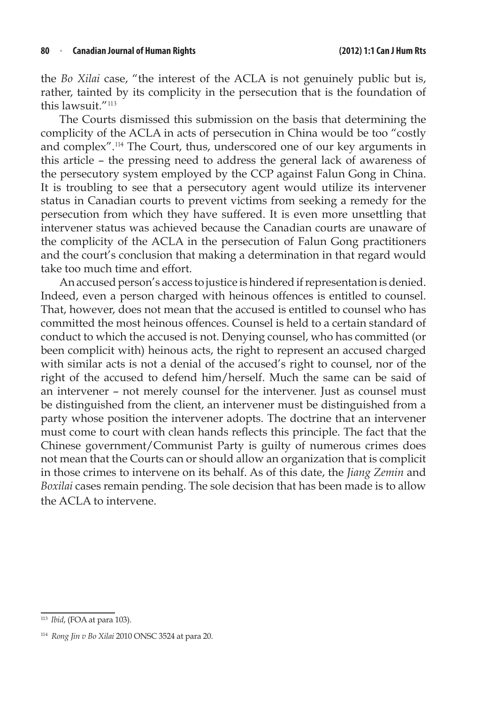the *Bo Xilai* case, "the interest of the ACLA is not genuinely public but is, rather, tainted by its complicity in the persecution that is the foundation of this lawsuit."<sup>113</sup>

The Courts dismissed this submission on the basis that determining the complicity of the ACLA in acts of persecution in China would be too "costly and complex".<sup>114</sup> The Court, thus, underscored one of our key arguments in this article – the pressing need to address the general lack of awareness of the persecutory system employed by the CCP against Falun Gong in China. It is troubling to see that a persecutory agent would utilize its intervener status in Canadian courts to prevent victims from seeking a remedy for the persecution from which they have suffered. It is even more unsettling that intervener status was achieved because the Canadian courts are unaware of the complicity of the ACLA in the persecution of Falun Gong practitioners and the court's conclusion that making a determination in that regard would take too much time and effort.

An accused person's access to justice is hindered if representation is denied. Indeed, even a person charged with heinous offences is entitled to counsel. That, however, does not mean that the accused is entitled to counsel who has committed the most heinous offences. Counsel is held to a certain standard of conduct to which the accused is not. Denying counsel, who has committed (or been complicit with) heinous acts, the right to represent an accused charged with similar acts is not a denial of the accused's right to counsel, nor of the right of the accused to defend him/herself. Much the same can be said of an intervener – not merely counsel for the intervener. Just as counsel must be distinguished from the client, an intervener must be distinguished from a party whose position the intervener adopts. The doctrine that an intervener must come to court with clean hands reflects this principle. The fact that the Chinese government/Communist Party is guilty of numerous crimes does not mean that the Courts can or should allow an organization that is complicit in those crimes to intervene on its behalf. As of this date, the *Jiang Zemin* and *Boxilai* cases remain pending. The sole decision that has been made is to allow the ACLA to intervene.

<sup>113</sup> *Ibid*, (FOA at para 103).

<sup>114</sup> *Rong Jin v Bo Xilai* 2010 ONSC 3524 at para 20.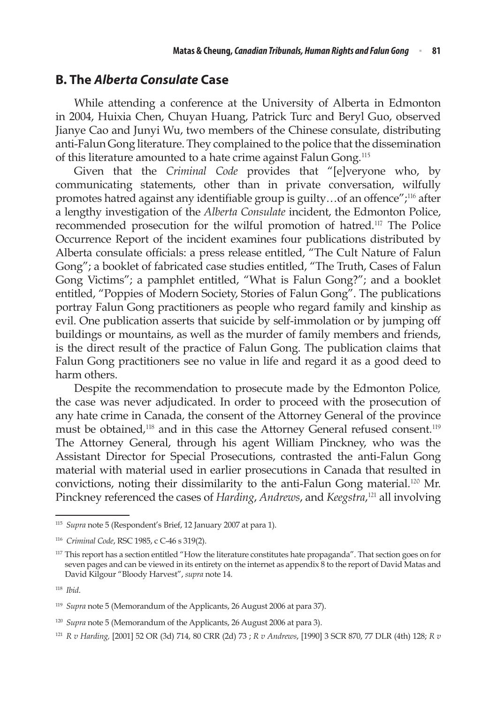### **B. The** *Alberta Consulate* **Case**

While attending a conference at the University of Alberta in Edmonton in 2004, Huixia Chen, Chuyan Huang, Patrick Turc and Beryl Guo, observed Jianye Cao and Junyi Wu, two members of the Chinese consulate, distributing anti‑Falun Gong literature. They complained to the police that the dissemination of this literature amounted to a hate crime against Falun Gong.<sup>115</sup>

Given that the *Criminal Code* provides that "[e]veryone who, by communicating statements, other than in private conversation, wilfully promotes hatred against any identifiable group is guilty…of an offence";<sup>116</sup> after a lengthy investigation of the *Alberta Consulate* incident, the Edmonton Police, recommended prosecution for the wilful promotion of hatred.<sup>117</sup> The Police Occurrence Report of the incident examines four publications distributed by Alberta consulate officials: a press release entitled, "The Cult Nature of Falun Gong"; a booklet of fabricated case studies entitled, "The Truth, Cases of Falun Gong Victims"; a pamphlet entitled, "What is Falun Gong?"; and a booklet entitled, "Poppies of Modern Society, Stories of Falun Gong". The publications portray Falun Gong practitioners as people who regard family and kinship as evil. One publication asserts that suicide by self-immolation or by jumping off buildings or mountains, as well as the murder of family members and friends, is the direct result of the practice of Falun Gong. The publication claims that Falun Gong practitioners see no value in life and regard it as a good deed to harm others.

Despite the recommendation to prosecute made by the Edmonton Police*,* the case was never adjudicated. In order to proceed with the prosecution of any hate crime in Canada, the consent of the Attorney General of the province must be obtained,<sup>118</sup> and in this case the Attorney General refused consent.<sup>119</sup> The Attorney General, through his agent William Pinckney, who was the Assistant Director for Special Prosecutions, contrasted the anti‑Falun Gong material with material used in earlier prosecutions in Canada that resulted in convictions, noting their dissimilarity to the anti-Falun Gong material.<sup>120</sup> Mr. Pinckney referenced the cases of *Harding*, *Andrews*, and *Keegstra*, <sup>121</sup> all involving

<sup>115</sup> *Supra* note 5 (Respondent's Brief, 12 January 2007 at para 1).

<sup>116</sup> *Criminal Code*, RSC 1985, c C-46 s 319(2).

<sup>&</sup>lt;sup>117</sup> This report has a section entitled "How the literature constitutes hate propaganda". That section goes on for seven pages and can be viewed in its entirety on the internet as appendix 8 to the report of David Matas and David Kilgour "Bloody Harvest", *supra* note 14.

<sup>118</sup> *Ibid*.

<sup>119</sup> *Supra* note 5 (Memorandum of the Applicants, 26 August 2006 at para 37).

<sup>120</sup> *Supra* note 5 (Memorandum of the Applicants, 26 August 2006 at para 3).

<sup>121</sup> *R v Harding,* [2001] 52 OR (3d) 714, 80 CRR (2d) 73 ; *R v Andrews*, [1990] 3 SCR 870, 77 DLR (4th) 128; *R v*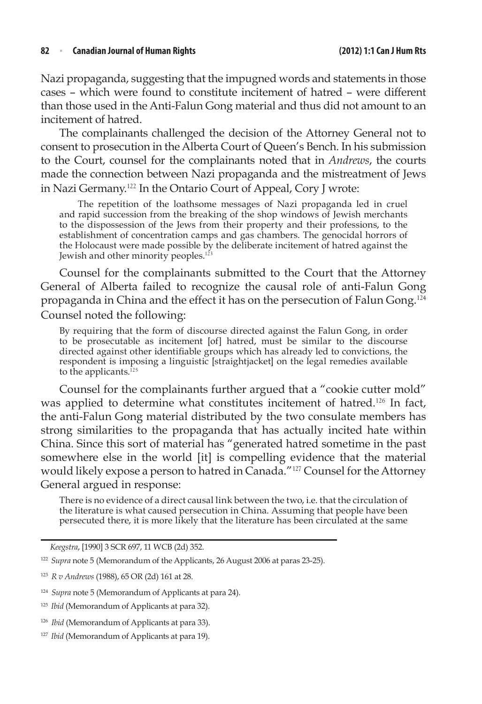#### **82**  <sup>n</sup> **Canadian Journal of Human Rights (2012) 1:1 Can J HumRts**

Nazi propaganda, suggesting that the impugned words and statements in those cases – which were found to constitute incitement of hatred – were different than those used in the Anti-Falun Gong material and thus did not amount to an incitement of hatred.

The complainants challenged the decision of the Attorney General not to consent to prosecution in the Alberta Court of Queen's Bench. In his submission to the Court, counsel for the complainants noted that in *Andrews*, the courts made the connection between Nazi propaganda and the mistreatment of Jews in Nazi Germany.<sup>122</sup> In the Ontario Court of Appeal, Cory J wrote:

 The repetition of the loathsome messages of Nazi propaganda led in cruel and rapid succession from the breaking of the shop windows of Jewish merchants to the dispossession of the Jews from their property and their professions, to the establishment of concentration camps and gas chambers. The genocidal horrors of the Holocaust were made possible by the deliberate incitement of hatred against the Jewish and other minority peoples.<sup>123</sup>

Counsel for the complainants submitted to the Court that the Attorney General of Alberta failed to recognize the causal role of anti-Falun Gong propaganda in China and the effect it has on the persecution of Falun Gong.<sup>124</sup> Counsel noted the following:

By requiring that the form of discourse directed against the Falun Gong, in order to be prosecutable as incitement [of] hatred, must be similar to the discourse directed against other identifiable groups which has already led to convictions, the respondent is imposing a linguistic [straightjacket] on the legal remedies available to the applicants. $125$ 

Counsel for the complainants further argued that a "cookie cutter mold" was applied to determine what constitutes incitement of hatred.<sup>126</sup> In fact, the anti-Falun Gong material distributed by the two consulate members has strong similarities to the propaganda that has actually incited hate within China. Since this sort of material has "generated hatred sometime in the past somewhere else in the world [it] is compelling evidence that the material would likely expose a person to hatred in Canada."<sup>127</sup> Counsel for the Attorney General argued in response:

There is no evidence of a direct causal link between the two, i.e. that the circulation of the literature is what caused persecution in China. Assuming that people have been persecuted there, it is more likely that the literature has been circulated at the same

*Keegstra*, [1990] 3 SCR 697, 11 WCB (2d) 352.

<sup>122</sup> *Supra* note 5 (Memorandum of the Applicants, 26 August 2006 at paras 23-25).

<sup>123</sup> *R v Andrews* (1988), 65 OR (2d) 161 at 28.

<sup>124</sup> *Supra* note 5 (Memorandum of Applicants at para 24).

<sup>125</sup> *Ibid* (Memorandum of Applicants at para 32).

<sup>126</sup> *Ibid* (Memorandum of Applicants at para 33).

<sup>&</sup>lt;sup>127</sup> *Ibid* (Memorandum of Applicants at para 19).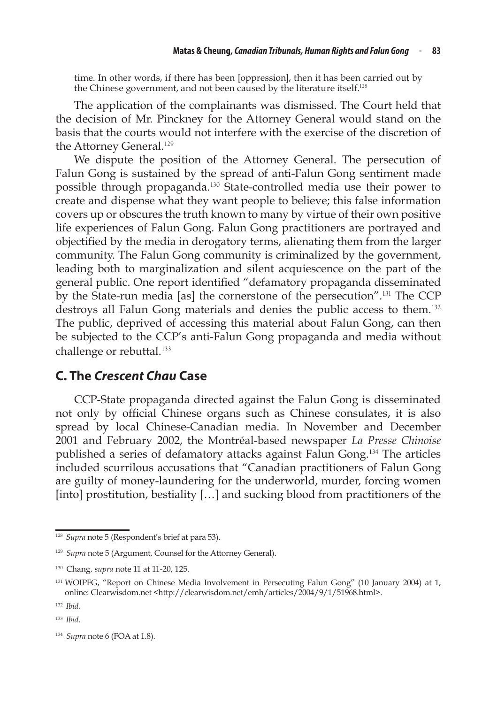time. In other words, if there has been [oppression], then it has been carried out by the Chinese government, and not been caused by the literature itself.<sup>128</sup>

The application of the complainants was dismissed. The Court held that the decision of Mr. Pinckney for the Attorney General would stand on the basis that the courts would not interfere with the exercise of the discretion of the Attorney General.<sup>129</sup>

We dispute the position of the Attorney General. The persecution of Falun Gong is sustained by the spread of anti-Falun Gong sentiment made possible through propaganda.<sup>130</sup> State-controlled media use their power to create and dispense what they want people to believe; this false information covers up or obscures the truth known to many by virtue of their own positive life experiences of Falun Gong. Falun Gong practitioners are portrayed and objectified by the media in derogatory terms, alienating them from the larger community. The Falun Gong community is criminalized by the government, leading both to marginalization and silent acquiescence on the part of the general public. One report identified "defamatory propaganda disseminated by the State-run media [as] the cornerstone of the persecution".<sup>131</sup> The CCP destroys all Falun Gong materials and denies the public access to them.<sup>132</sup> The public, deprived of accessing this material about Falun Gong, can then be subjected to the CCP's anti-Falun Gong propaganda and media without challenge or rebuttal.<sup>133</sup>

### **C. The** *Crescent Chau* **Case**

CCP-State propaganda directed against the Falun Gong is disseminated not only by official Chinese organs such as Chinese consulates, it is also spread by local Chinese-Canadian media. In November and December 2001 and February 2002, the Montréal-based newspaper *La Presse Chinoise* published a series of defamatory attacks against Falun Gong.<sup>134</sup> The articles included scurrilous accusations that "Canadian practitioners of Falun Gong are guilty of money-laundering for the underworld, murder, forcing women [into] prostitution, bestiality […] and sucking blood from practitioners of the

<sup>128</sup> *Supra* note 5 (Respondent's brief at para 53).

<sup>129</sup> *Supra* note 5 (Argument, Counsel for the Attorney General).

<sup>130</sup> Chang, *supra* note 11 at 11-20, 125.

<sup>&</sup>lt;sup>131</sup> WOIPFG, "Report on Chinese Media Involvement in Persecuting Falun Gong" (10 January 2004) at 1, online: Clearwisdom.net <http://clearwisdom.net/emh/articles/2004/9/1/51968.html>.

<sup>132</sup> *Ibid.*

<sup>133</sup> *Ibid*.

<sup>134</sup> *Supra* note 6 (FOA at 1.8).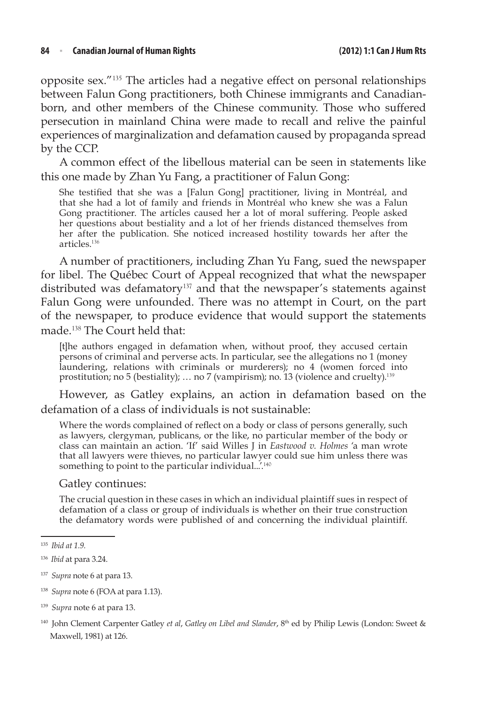opposite sex."<sup>135</sup> The articles had a negative effect on personal relationships between Falun Gong practitioners, both Chinese immigrants and Canadianborn, and other members of the Chinese community. Those who suffered persecution in mainland China were made to recall and relive the painful experiences of marginalization and defamation caused by propaganda spread by the CCP.

A common effect of the libellous material can be seen in statements like this one made by Zhan Yu Fang, a practitioner of Falun Gong:

She testified that she was a [Falun Gong] practitioner, living in Montréal, and that she had a lot of family and friends in Montréal who knew she was a Falun Gong practitioner. The articles caused her a lot of moral suffering. People asked her questions about bestiality and a lot of her friends distanced themselves from her after the publication. She noticed increased hostility towards her after the articles.<sup>136</sup>

A number of practitioners, including Zhan Yu Fang, sued the newspaper for libel. The Québec Court of Appeal recognized that what the newspaper distributed was defamatory<sup>137</sup> and that the newspaper's statements against Falun Gong were unfounded. There was no attempt in Court, on the part of the newspaper, to produce evidence that would support the statements made.<sup>138</sup> The Court held that:

[t]he authors engaged in defamation when, without proof, they accused certain persons of criminal and perverse acts. In particular, see the allegations no 1 (money laundering, relations with criminals or murderers); no 4 (women forced into prostitution; no 5 (bestiality); ... no 7 (vampirism); no. 13 (violence and cruelty).<sup>139</sup>

However, as Gatley explains, an action in defamation based on the defamation of a class of individuals is not sustainable:

Where the words complained of reflect on a body or class of persons generally, such as lawyers, clergyman, publicans, or the like, no particular member of the body or class can maintain an action. 'If' said Willes J in *Eastwood v. Holmes* 'a man wrote that all lawyers were thieves, no particular lawyer could sue him unless there was something to point to the particular individual...'.<sup>140</sup>

#### Gatley continues:

The crucial question in these cases in which an individual plaintiff sues in respect of defamation of a class or group of individuals is whether on their true construction the defamatory words were published of and concerning the individual plaintiff.

<sup>135</sup> *Ibid at 1.9.* 

<sup>136</sup> *Ibid* at para 3.24.

<sup>137</sup> *Supra* note 6 at para 13.

<sup>138</sup> *Supra* note 6 (FOA at para 1.13).

<sup>139</sup> *Supra* note 6 at para 13.

<sup>140</sup> John Clement Carpenter Gatley *et al*, *Gatley on Libel and Slander*, 8th ed by Philip Lewis (London: Sweet & Maxwell, 1981) at 126.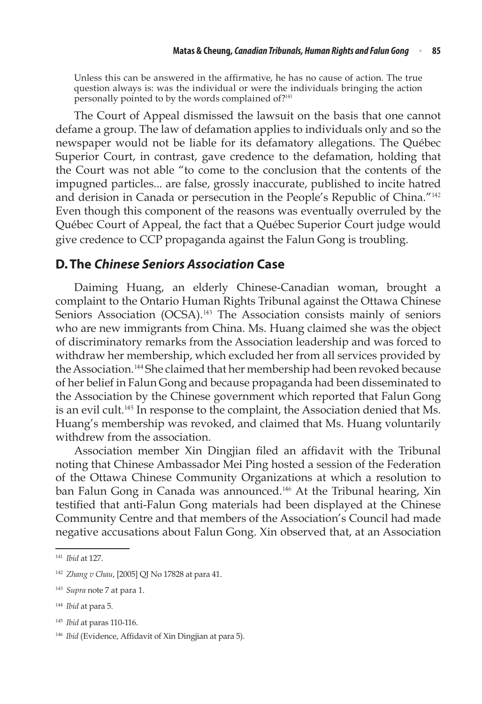Unless this can be answered in the affirmative, he has no cause of action. The true question always is: was the individual or were the individuals bringing the action personally pointed to by the words complained of?<sup>141</sup>

The Court of Appeal dismissed the lawsuit on the basis that one cannot defame a group. The law of defamation applies to individuals only and so the newspaper would not be liable for its defamatory allegations. The Québec Superior Court, in contrast, gave credence to the defamation, holding that the Court was not able "to come to the conclusion that the contents of the impugned particles... are false, grossly inaccurate, published to incite hatred and derision in Canada or persecution in the People's Republic of China."<sup>142</sup> Even though this component of the reasons was eventually overruled by the Québec Court of Appeal, the fact that a Québec Superior Court judge would give credence to CCP propaganda against the Falun Gong is troubling.

### **D.The** *Chinese Seniors Association* **Case**

Daiming Huang, an elderly Chinese-Canadian woman, brought a complaint to the Ontario Human Rights Tribunal against the Ottawa Chinese Seniors Association (OCSA).<sup>143</sup> The Association consists mainly of seniors who are new immigrants from China. Ms. Huang claimed she was the object of discriminatory remarks from the Association leadership and was forced to withdraw her membership, which excluded her from all services provided by the Association.<sup>144</sup> She claimed that her membership had been revoked because of her belief in Falun Gong and because propaganda had been disseminated to the Association by the Chinese government which reported that Falun Gong is an evil cult.<sup>145</sup> In response to the complaint, the Association denied that Ms. Huang's membership was revoked, and claimed that Ms. Huang voluntarily withdrew from the association.

Association member Xin Dingjian filed an affidavit with the Tribunal noting that Chinese Ambassador Mei Ping hosted a session of the Federation of the Ottawa Chinese Community Organizations at which a resolution to ban Falun Gong in Canada was announced.<sup>146</sup> At the Tribunal hearing, Xin testified that anti-Falun Gong materials had been displayed at the Chinese Community Centre and that members of the Association's Council had made negative accusations about Falun Gong. Xin observed that, at an Association

<sup>141</sup> *Ibid* at 127.

<sup>142</sup> *Zhang v Chau*, [2005] QJ No 17828 at para 41.

<sup>143</sup> *Supra* note 7 at para 1.

<sup>144</sup> *Ibid* at para 5.

<sup>145</sup> *Ibid* at paras 110-116.

<sup>146</sup> *Ibid* (Evidence, Affidavit of Xin Dingjian at para 5).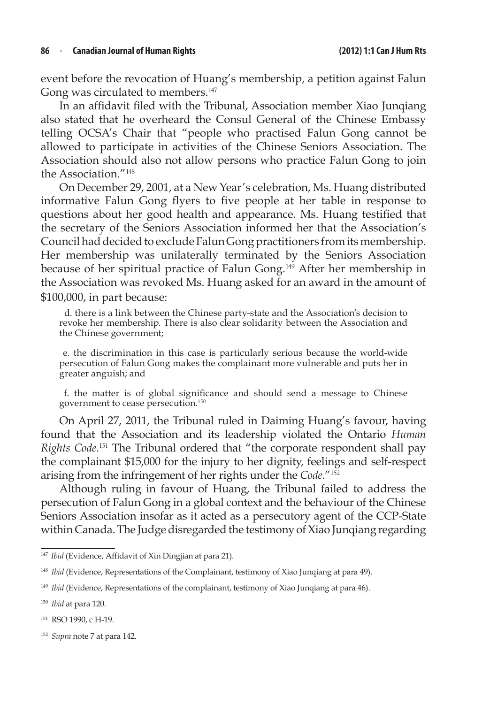event before the revocation of Huang's membership, a petition against Falun Gong was circulated to members.<sup>147</sup>

In an affidavit filed with the Tribunal, Association member Xiao Junqiang also stated that he overheard the Consul General of the Chinese Embassy telling OCSA's Chair that "people who practised Falun Gong cannot be allowed to participate in activities of the Chinese Seniors Association. The Association should also not allow persons who practice Falun Gong to join the Association."<sup>148</sup>

On December 29, 2001, at a New Year's celebration, Ms. Huang distributed informative Falun Gong flyers to five people at her table in response to questions about her good health and appearance. Ms. Huang testified that the secretary of the Seniors Association informed her that the Association's Council had decided to exclude Falun Gong practitioners from its membership. Her membership was unilaterally terminated by the Seniors Association because of her spiritual practice of Falun Gong.<sup>149</sup> After her membership in the Association was revoked Ms. Huang asked for an award in the amount of \$100,000, in part because:

 d. there is a link between the Chinese party-state and the Association's decision to revoke her membership. There is also clear solidarity between the Association and the Chinese government;

e. the discrimination in this case is particularly serious because the world‑wide persecution of Falun Gong makes the complainant more vulnerable and puts her in greater anguish; and

f. the matter is of global significance and should send a message to Chinese government to cease persecution.<sup>150</sup>

On April 27, 2011, the Tribunal ruled in Daiming Huang's favour, having found that the Association and its leadership violated the Ontario *Human Rights Code*. <sup>151</sup> The Tribunal ordered that "the corporate respondent shall pay the complainant \$15,000 for the injury to her dignity, feelings and self-respect arising from the infringement of her rights under the *Code*."<sup>152</sup>

Although ruling in favour of Huang, the Tribunal failed to address the persecution of Falun Gong in a global context and the behaviour of the Chinese Seniors Association insofar as it acted as a persecutory agent of the CCP-State within Canada. The Judge disregarded the testimony of Xiao Junqiang regarding

<sup>&</sup>lt;sup>147</sup> *Ibid* (Evidence, Affidavit of Xin Dingjian at para 21).

<sup>148</sup> *Ibid* (Evidence, Representations of the Complainant, testimony of Xiao Junqiang at para 49).

<sup>&</sup>lt;sup>149</sup> *Ibid* (Evidence, Representations of the complainant, testimony of Xiao Junqiang at para 46).

<sup>150</sup> *Ibid* at para 120.

<sup>151</sup> RSO 1990, c H-19.

<sup>152</sup> *Supra* note 7 at para 142.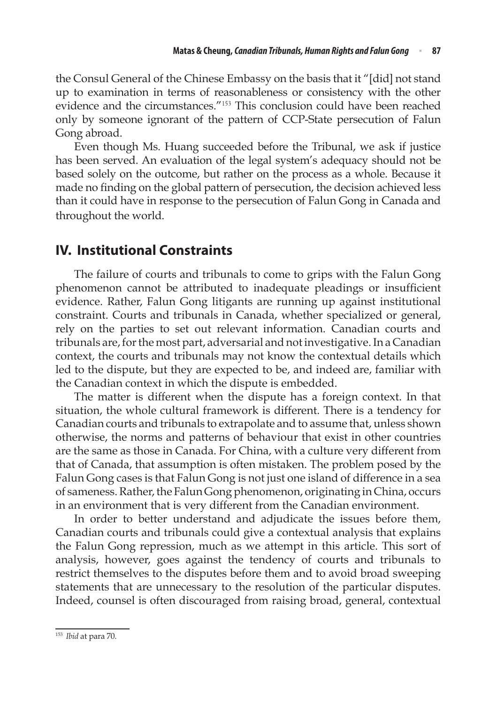the Consul General of the Chinese Embassy on the basis that it "[did] not stand up to examination in terms of reasonableness or consistency with the other evidence and the circumstances."<sup>153</sup> This conclusion could have been reached only by someone ignorant of the pattern of CCP-State persecution of Falun Gong abroad.

Even though Ms. Huang succeeded before the Tribunal, we ask if justice has been served. An evaluation of the legal system's adequacy should not be based solely on the outcome, but rather on the process as a whole. Because it made no finding on the global pattern of persecution, the decision achieved less than it could have in response to the persecution of Falun Gong in Canada and throughout the world.

# **IV. Institutional Constraints**

The failure of courts and tribunals to come to grips with the Falun Gong phenomenon cannot be attributed to inadequate pleadings or insufficient evidence. Rather, Falun Gong litigants are running up against institutional constraint. Courts and tribunals in Canada, whether specialized or general, rely on the parties to set out relevant information. Canadian courts and tribunals are, for the most part, adversarial and not investigative. In a Canadian context, the courts and tribunals may not know the contextual details which led to the dispute, but they are expected to be, and indeed are, familiar with the Canadian context in which the dispute is embedded.

The matter is different when the dispute has a foreign context. In that situation, the whole cultural framework is different. There is a tendency for Canadian courts and tribunals to extrapolate and to assume that, unless shown otherwise, the norms and patterns of behaviour that exist in other countries are the same as those in Canada. For China, with a culture very different from that of Canada, that assumption is often mistaken. The problem posed by the Falun Gong cases is that Falun Gong is not just one island of difference in a sea of sameness. Rather, the Falun Gong phenomenon, originating in China, occurs in an environment that is very different from the Canadian environment.

In order to better understand and adjudicate the issues before them, Canadian courts and tribunals could give a contextual analysis that explains the Falun Gong repression, much as we attempt in this article. This sort of analysis, however, goes against the tendency of courts and tribunals to restrict themselves to the disputes before them and to avoid broad sweeping statements that are unnecessary to the resolution of the particular disputes. Indeed, counsel is often discouraged from raising broad, general, contextual

<sup>153</sup> *Ibid* at para 70.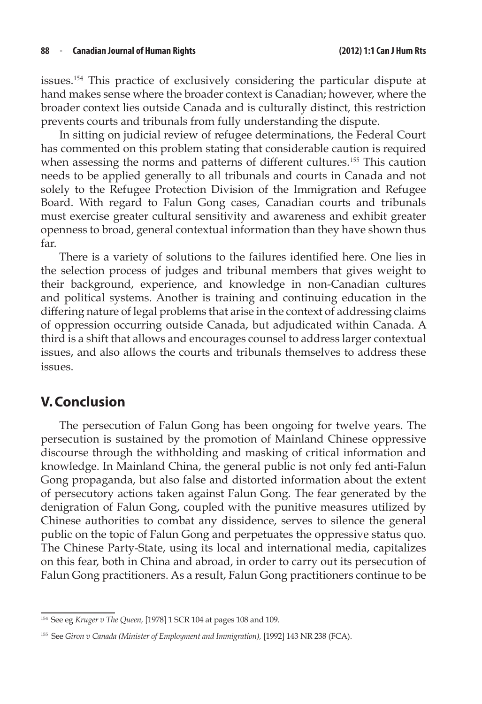issues.<sup>154</sup> This practice of exclusively considering the particular dispute at hand makes sense where the broader context is Canadian; however, where the broader context lies outside Canada and is culturally distinct, this restriction prevents courts and tribunals from fully understanding the dispute.

In sitting on judicial review of refugee determinations, the Federal Court has commented on this problem stating that considerable caution is required when assessing the norms and patterns of different cultures.<sup>155</sup> This caution needs to be applied generally to all tribunals and courts in Canada and not solely to the Refugee Protection Division of the Immigration and Refugee Board. With regard to Falun Gong cases, Canadian courts and tribunals must exercise greater cultural sensitivity and awareness and exhibit greater openness to broad, general contextual information than they have shown thus far.

There is a variety of solutions to the failures identified here. One lies in the selection process of judges and tribunal members that gives weight to their background, experience, and knowledge in non-Canadian cultures and political systems. Another is training and continuing education in the differing nature of legal problems that arise in the context of addressing claims of oppression occurring outside Canada, but adjudicated within Canada. A third is a shift that allows and encourages counsel to address larger contextual issues, and also allows the courts and tribunals themselves to address these issues.

# **V.Conclusion**

The persecution of Falun Gong has been ongoing for twelve years. The persecution is sustained by the promotion of Mainland Chinese oppressive discourse through the withholding and masking of critical information and knowledge. In Mainland China, the general public is not only fed anti-Falun Gong propaganda, but also false and distorted information about the extent of persecutory actions taken against Falun Gong. The fear generated by the denigration of Falun Gong, coupled with the punitive measures utilized by Chinese authorities to combat any dissidence, serves to silence the general public on the topic of Falun Gong and perpetuates the oppressive status quo. The Chinese Party-State, using its local and international media, capitalizes on this fear, both in China and abroad, in order to carry out its persecution of Falun Gong practitioners. As a result, Falun Gong practitioners continue to be

<sup>154</sup> See eg *Kruger v The Queen,* [1978] 1 SCR 104 at pages 108 and 109.

<sup>155</sup> See *Giron v Canada (Minister of Employment and Immigration),* [1992] 143 NR 238 (FCA).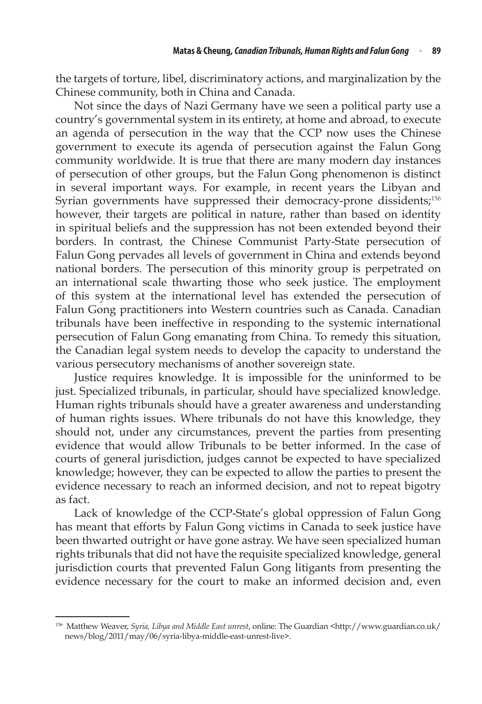the targets of torture, libel, discriminatory actions, and marginalization by the Chinese community, both in China and Canada.

Not since the days of Nazi Germany have we seen a political party use a country's governmental system in its entirety, at home and abroad, to execute an agenda of persecution in the way that the CCP now uses the Chinese government to execute its agenda of persecution against the Falun Gong community worldwide. It is true that there are many modern day instances of persecution of other groups, but the Falun Gong phenomenon is distinct in several important ways. For example, in recent years the Libyan and Syrian governments have suppressed their democracy-prone dissidents;<sup>156</sup> however, their targets are political in nature, rather than based on identity in spiritual beliefs and the suppression has not been extended beyond their borders. In contrast, the Chinese Communist Party-State persecution of Falun Gong pervades all levels of government in China and extends beyond national borders. The persecution of this minority group is perpetrated on an international scale thwarting those who seek justice. The employment of this system at the international level has extended the persecution of Falun Gong practitioners into Western countries such as Canada. Canadian tribunals have been ineffective in responding to the systemic international persecution of Falun Gong emanating from China. To remedy this situation, the Canadian legal system needs to develop the capacity to understand the various persecutory mechanisms of another sovereign state.

Justice requires knowledge. It is impossible for the uninformed to be just. Specialized tribunals, in particular, should have specialized knowledge. Human rights tribunals should have a greater awareness and understanding of human rights issues. Where tribunals do not have this knowledge, they should not, under any circumstances, prevent the parties from presenting evidence that would allow Tribunals to be better informed. In the case of courts of general jurisdiction, judges cannot be expected to have specialized knowledge; however, they can be expected to allow the parties to present the evidence necessary to reach an informed decision, and not to repeat bigotry as fact.

Lack of knowledge of the CCP-State's global oppression of Falun Gong has meant that efforts by Falun Gong victims in Canada to seek justice have been thwarted outright or have gone astray. We have seen specialized human rights tribunals that did not have the requisite specialized knowledge, general jurisdiction courts that prevented Falun Gong litigants from presenting the evidence necessary for the court to make an informed decision and, even

<sup>156</sup> Matthew Weaver, *Syria, Libya and Middle East unrest*, online: The Guardian <http://www.guardian.co.uk/ news/blog/2011/may/06/syria‑libya‑middle‑east‑unrest‑live>.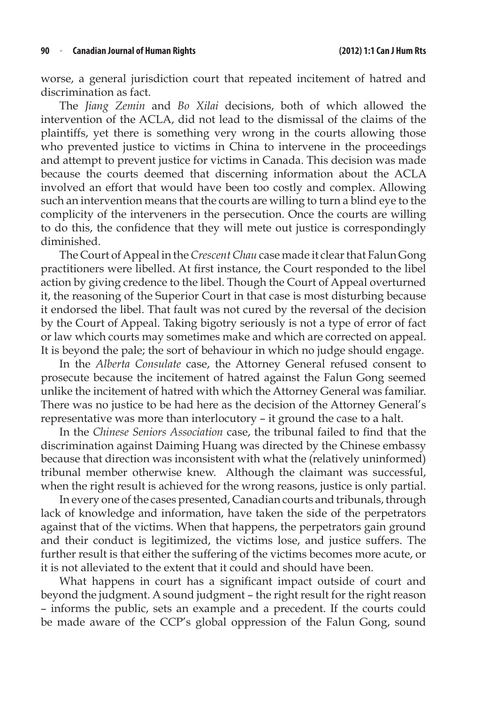worse, a general jurisdiction court that repeated incitement of hatred and discrimination as fact.

The *Jiang Zemin* and *Bo Xilai* decisions, both of which allowed the intervention of the ACLA, did not lead to the dismissal of the claims of the plaintiffs, yet there is something very wrong in the courts allowing those who prevented justice to victims in China to intervene in the proceedings and attempt to prevent justice for victims in Canada. This decision was made because the courts deemed that discerning information about the ACLA involved an effort that would have been too costly and complex. Allowing such an intervention means that the courts are willing to turn a blind eye to the complicity of the interveners in the persecution. Once the courts are willing to do this, the confidence that they will mete out justice is correspondingly diminished.

The Court of Appeal in the *Crescent Chau* case made it clear that Falun Gong practitioners were libelled. At first instance, the Court responded to the libel action by giving credence to the libel. Though the Court of Appeal overturned it, the reasoning of the Superior Court in that case is most disturbing because it endorsed the libel. That fault was not cured by the reversal of the decision by the Court of Appeal. Taking bigotry seriously is not a type of error of fact or law which courts may sometimes make and which are corrected on appeal. It is beyond the pale; the sort of behaviour in which no judge should engage.

In the *Alberta Consulate* case, the Attorney General refused consent to prosecute because the incitement of hatred against the Falun Gong seemed unlike the incitement of hatred with which the Attorney General was familiar. There was no justice to be had here as the decision of the Attorney General's representative was more than interlocutory – it ground the case to a halt.

In the *Chinese Seniors Association* case, the tribunal failed to find that the discrimination against Daiming Huang was directed by the Chinese embassy because that direction was inconsistent with what the (relatively uninformed) tribunal member otherwise knew. Although the claimant was successful, when the right result is achieved for the wrong reasons, justice is only partial.

In every one of the cases presented, Canadian courts and tribunals, through lack of knowledge and information, have taken the side of the perpetrators against that of the victims. When that happens, the perpetrators gain ground and their conduct is legitimized, the victims lose, and justice suffers. The further result is that either the suffering of the victims becomes more acute, or it is not alleviated to the extent that it could and should have been.

What happens in court has a significant impact outside of court and beyond the judgment. A sound judgment – the right result for the right reason – informs the public, sets an example and a precedent. If the courts could be made aware of the CCP's global oppression of the Falun Gong, sound